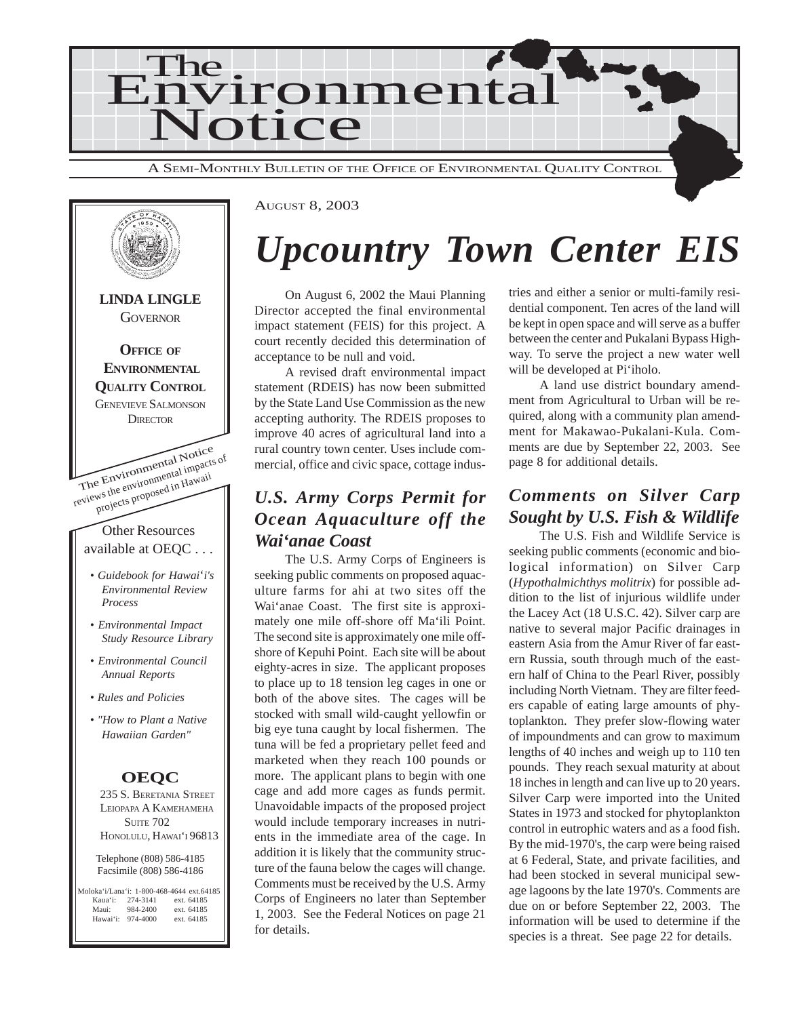



## *Upcountry Town Center EIS*

On August 6, 2002 the Maui Planning Director accepted the final environmental impact statement (FEIS) for this project. A court recently decided this determination of acceptance to be null and void.

A revised draft environmental impact statement (RDEIS) has now been submitted by the State Land Use Commission as the new accepting authority. The RDEIS proposes to improve 40 acres of agricultural land into a rural country town center. Uses include commercial, office and civic space, cottage indus-

## *U.S. Army Corps Permit for Ocean Aquaculture off the Wai'anae Coast*

The U.S. Army Corps of Engineers is seeking public comments on proposed aquaculture farms for ahi at two sites off the Wai'anae Coast. The first site is approximately one mile off-shore off Ma'ili Point. The second site is approximately one mile offshore of Kepuhi Point. Each site will be about eighty-acres in size. The applicant proposes to place up to 18 tension leg cages in one or both of the above sites. The cages will be stocked with small wild-caught yellowfin or big eye tuna caught by local fishermen. The tuna will be fed a proprietary pellet feed and marketed when they reach 100 pounds or more. The applicant plans to begin with one cage and add more cages as funds permit. Unavoidable impacts of the proposed project would include temporary increases in nutrients in the immediate area of the cage. In addition it is likely that the community structure of the fauna below the cages will change. Comments must be received by the U.S. Army Corps of Engineers no later than September 1, 2003. See the Federal Notices on page 21 for details.

tries and either a senior or multi-family residential component. Ten acres of the land will be kept in open space and will serve as a buffer between the center and Pukalani Bypass Highway. To serve the project a new water well will be developed at Pi'iholo.

A land use district boundary amendment from Agricultural to Urban will be required, along with a community plan amendment for Makawao-Pukalani-Kula. Comments are due by September 22, 2003. See page 8 for additional details.

## *Comments on Silver Carp Sought by U.S. Fish & Wildlife*

The U.S. Fish and Wildlife Service is seeking public comments (economic and biological information) on Silver Carp (*Hypothalmichthys molitrix*) for possible addition to the list of injurious wildlife under the Lacey Act (18 U.S.C. 42). Silver carp are native to several major Pacific drainages in eastern Asia from the Amur River of far eastern Russia, south through much of the eastern half of China to the Pearl River, possibly including North Vietnam. They are filter feeders capable of eating large amounts of phytoplankton. They prefer slow-flowing water of impoundments and can grow to maximum lengths of 40 inches and weigh up to 110 ten pounds. They reach sexual maturity at about 18 inches in length and can live up to 20 years. Silver Carp were imported into the United States in 1973 and stocked for phytoplankton control in eutrophic waters and as a food fish. By the mid-1970's, the carp were being raised at 6 Federal, State, and private facilities, and had been stocked in several municipal sewage lagoons by the late 1970's. Comments are due on or before September 22, 2003. The information will be used to determine if the species is a threat. See page 22 for details.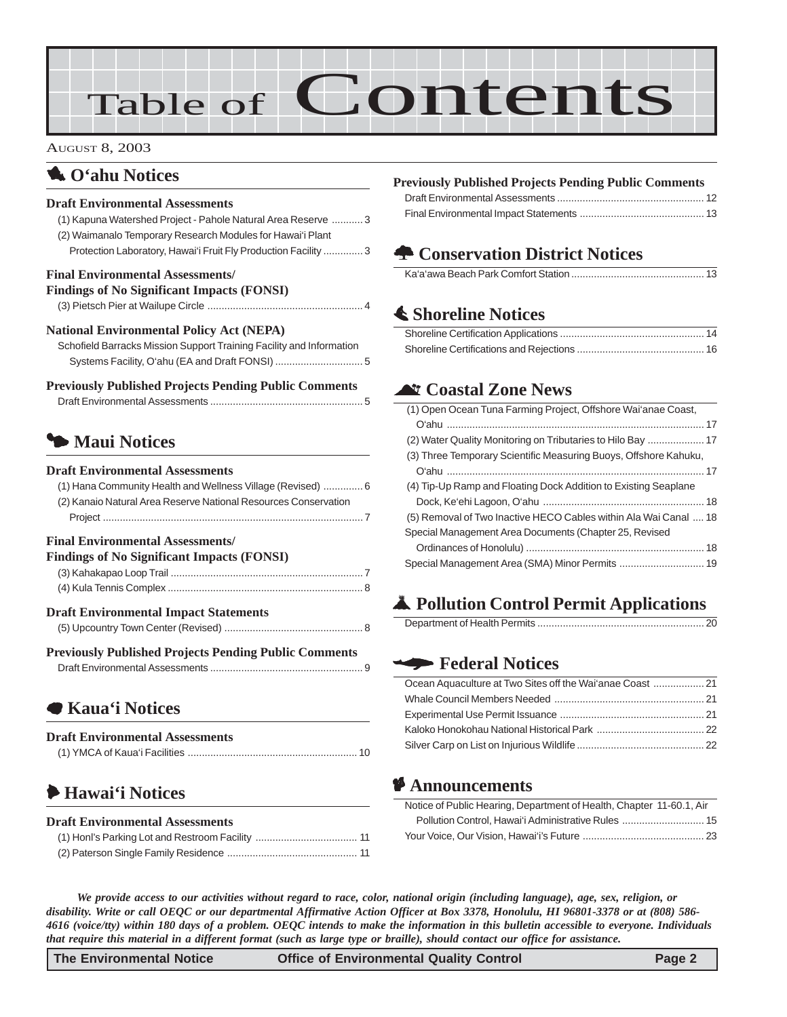# Table of Contents

#### AUGUST 8, 2003

## 1 **O'ahu Notices**

#### **Draft Environmental Assessments**

| Draft Environmental Assessments                                      |
|----------------------------------------------------------------------|
| (1) Kapuna Watershed Project - Pahole Natural Area Reserve  3        |
| (2) Waimanalo Temporary Research Modules for Hawai'i Plant           |
| Protection Laboratory, Hawai'i Fruit Fly Production Facility  3      |
| <b>Final Environmental Assessments/</b>                              |
| <b>Findings of No Significant Impacts (FONSI)</b>                    |
|                                                                      |
| <b>National Environmental Policy Act (NEPA)</b>                      |
| Schofield Barracks Mission Support Training Facility and Information |
|                                                                      |
|                                                                      |
| <b>Previously Published Projects Pending Public Comments</b>         |
|                                                                      |
|                                                                      |
| Maui Notices                                                         |
| <b>Draft Environmental Assessments</b>                               |
|                                                                      |
| (1) Hana Community Health and Wellness Village (Revised)  6          |
| (2) Kanaio Natural Area Reserve National Resources Conservation      |

### **Findings of No Significant Impacts (FONSI)**

| PHROBES OF IND SIGNIFICANT HIIDACES (P OTNST) |  |
|-----------------------------------------------|--|
|                                               |  |
|                                               |  |
| <b>Draft Environmental Impact Statements</b>  |  |
|                                               |  |

#### **Previously Published Projects Pending Public Comments** Draft Environmental Assessments [...................................................... 9](#page-8-0)

## 7 **[Kaua'i Notices](#page-9-0)**

| <b>Draft Environmental Assessments</b> |  |
|----------------------------------------|--|
|                                        |  |

## 6 **Hawai'i Notices**

#### **Draft Environmental Assessments**

#### **Previously Published Projects Pending Public Comments**

## **<del>** $\triangle$ **</del> Conservation District Notices**

|--|

## s **[Shoreline Notices](#page-13-0)**

### ^ **Coastal Zone News**

| (1) Open Ocean Tuna Farming Project, Offshore Wai'anae Coast,    |
|------------------------------------------------------------------|
|                                                                  |
|                                                                  |
| (3) Three Temporary Scientific Measuring Buoys, Offshore Kahuku, |
|                                                                  |
| (4) Tip-Up Ramp and Floating Dock Addition to Existing Seaplane  |
|                                                                  |
| (5) Removal of Two Inactive HECO Cables within Ala Wai Canal  18 |
| Special Management Area Documents (Chapter 25, Revised           |
|                                                                  |
| Special Management Area (SMA) Minor Permits  19                  |
|                                                                  |

## V **Pollution Control Permit Applications**

|--|

### W **Federal Notices**

### C **Announcements**

| Notice of Public Hearing, Department of Health, Chapter 11-60.1, Air |  |
|----------------------------------------------------------------------|--|
| Pollution Control. Hawai'i Administrative Rules  15                  |  |
|                                                                      |  |

*We provide access to our activities without regard to race, color, national origin (including language), age, sex, religion, or disability. Write or call OEQC or our departmental Affirmative Action Officer at Box 3378, Honolulu, HI 96801-3378 or at (808) 586- 4616 (voice/tty) within 180 days of a problem. OEQC intends to make the information in this bulletin accessible to everyone. Individuals that require this material in a different format (such as large type or braille), should contact our office for assistance.*

**The Environmental Notice Control Control Control Page 2**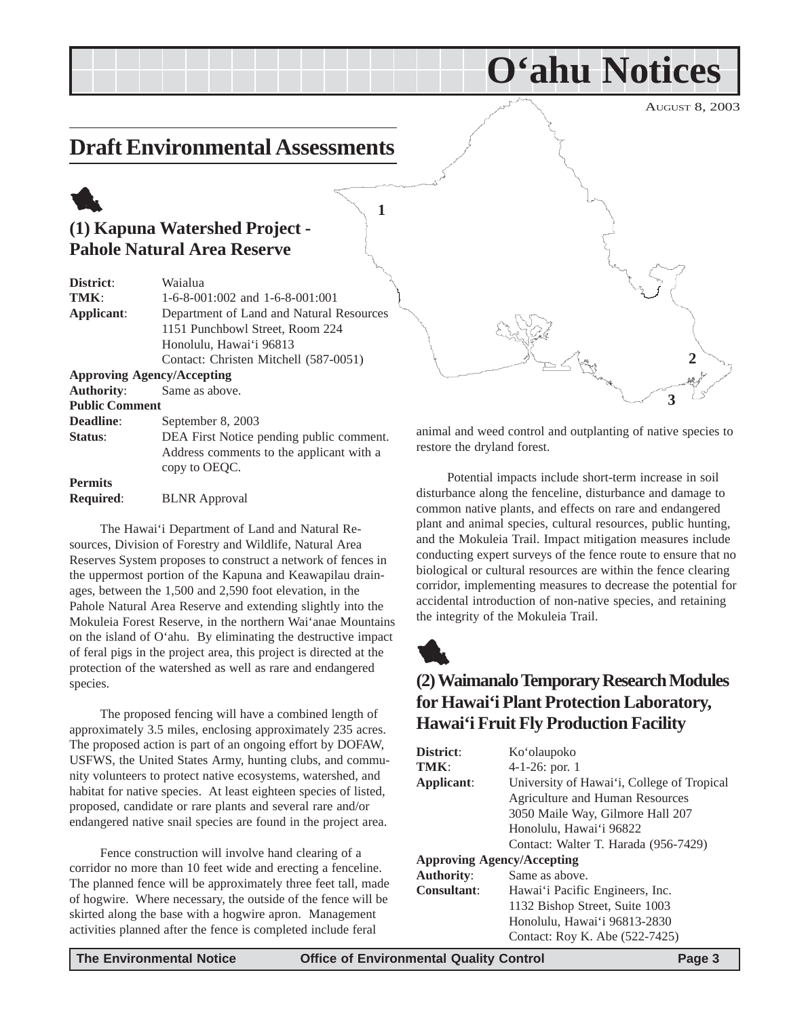## <span id="page-2-0"></span>**Draft Environmental Assessments**

## 1 **(1) Kapuna Watershed Project - Pahole Natural Area Reserve**

| District:             | Waialua                                  |
|-----------------------|------------------------------------------|
| TMK:                  | $1-6-8-001:002$ and $1-6-8-001:001$      |
| Applicant:            | Department of Land and Natural Resources |
|                       | 1151 Punchbowl Street, Room 224          |
|                       | Honolulu, Hawai'i 96813                  |
|                       | Contact: Christen Mitchell (587-0051)    |
|                       | <b>Approving Agency/Accepting</b>        |
| <b>Authority:</b>     | Same as above.                           |
| <b>Public Comment</b> |                                          |
| Deadline:             | September 8, 2003                        |
| Status:               | DEA First Notice pending public comment. |
|                       | Address comments to the applicant with a |
|                       | copy to OEOC.                            |

**Permits**

**Required**: BLNR Approval

The Hawai'i Department of Land and Natural Resources, Division of Forestry and Wildlife, Natural Area Reserves System proposes to construct a network of fences in the uppermost portion of the Kapuna and Keawapilau drainages, between the 1,500 and 2,590 foot elevation, in the Pahole Natural Area Reserve and extending slightly into the Mokuleia Forest Reserve, in the northern Wai'anae Mountains on the island of O'ahu. By eliminating the destructive impact of feral pigs in the project area, this project is directed at the protection of the watershed as well as rare and endangered species.

The proposed fencing will have a combined length of approximately 3.5 miles, enclosing approximately 235 acres. The proposed action is part of an ongoing effort by DOFAW, USFWS, the United States Army, hunting clubs, and community volunteers to protect native ecosystems, watershed, and habitat for native species. At least eighteen species of listed, proposed, candidate or rare plants and several rare and/or endangered native snail species are found in the project area.

Fence construction will involve hand clearing of a corridor no more than 10 feet wide and erecting a fenceline. The planned fence will be approximately three feet tall, made of hogwire. Where necessary, the outside of the fence will be skirted along the base with a hogwire apron. Management activities planned after the fence is completed include feral



**O'ahu Notices**

animal and weed control and outplanting of native species to restore the dryland forest.

Potential impacts include short-term increase in soil disturbance along the fenceline, disturbance and damage to common native plants, and effects on rare and endangered plant and animal species, cultural resources, public hunting, and the Mokuleia Trail. Impact mitigation measures include conducting expert surveys of the fence route to ensure that no biological or cultural resources are within the fence clearing corridor, implementing measures to decrease the potential for accidental introduction of non-native species, and retaining the integrity of the Mokuleia Trail.



**1**

## **(2) Waimanalo Temporary Research Modules for Hawai'i Plant Protection Laboratory, Hawai'i Fruit Fly Production Facility**

| District:                         | Ko'olaupoko                                |
|-----------------------------------|--------------------------------------------|
| TMK:                              | $4-1-26$ : por. 1                          |
| Applicant:                        | University of Hawai'i, College of Tropical |
|                                   | Agriculture and Human Resources            |
|                                   | 3050 Maile Way, Gilmore Hall 207           |
|                                   | Honolulu, Hawai'i 96822                    |
|                                   | Contact: Walter T. Harada (956-7429)       |
| <b>Approving Agency/Accepting</b> |                                            |
| <b>Authority:</b>                 | Same as above.                             |
| <b>Consultant:</b>                | Hawai'i Pacific Engineers, Inc.            |
|                                   | 1132 Bishop Street, Suite 1003             |
|                                   | Honolulu, Hawai'i 96813-2830               |
|                                   | Contact: Roy K. Abe (522-7425)             |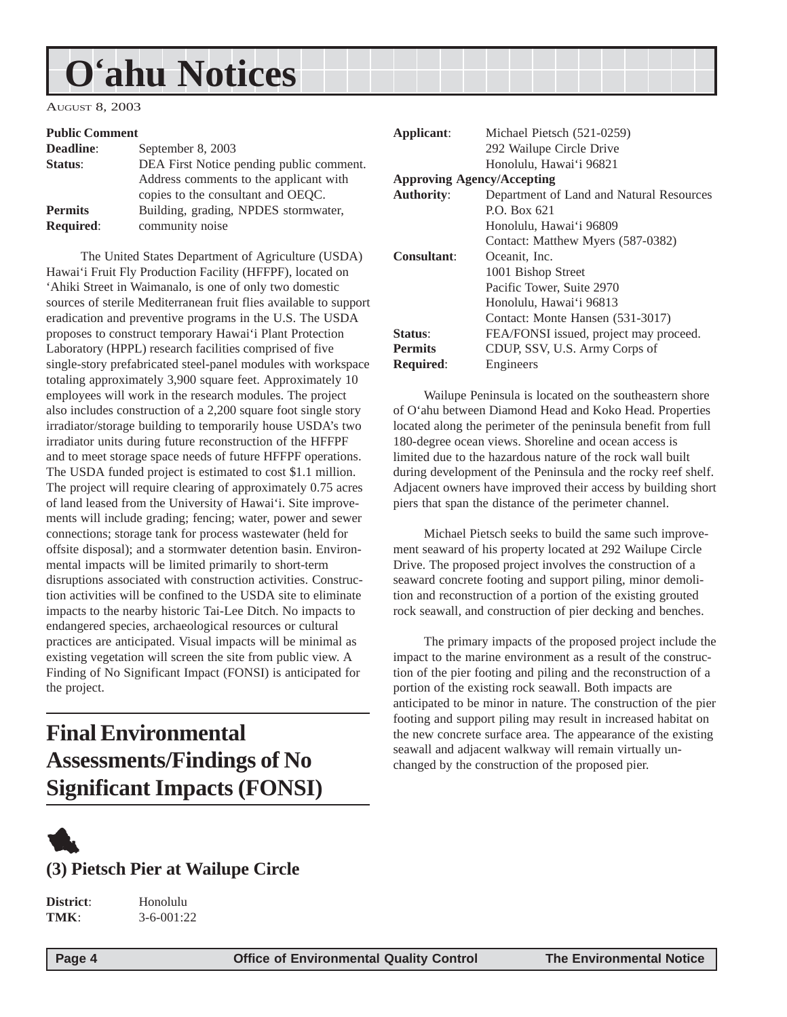## <span id="page-3-0"></span>**O'ahu Notices**

AUGUST 8, 2003

#### **Public Comment**

| <b>Deadline:</b> | September 8, 2003                        |
|------------------|------------------------------------------|
| Status:          | DEA First Notice pending public comment. |
|                  | Address comments to the applicant with   |
|                  | copies to the consultant and OEQC.       |
| <b>Permits</b>   | Building, grading, NPDES stormwater,     |
| <b>Required:</b> | community noise                          |

 The United States Department of Agriculture (USDA) Hawai'i Fruit Fly Production Facility (HFFPF), located on 'Ahiki Street in Waimanalo, is one of only two domestic sources of sterile Mediterranean fruit flies available to support eradication and preventive programs in the U.S. The USDA proposes to construct temporary Hawai'i Plant Protection Laboratory (HPPL) research facilities comprised of five single-story prefabricated steel-panel modules with workspace totaling approximately 3,900 square feet. Approximately 10 employees will work in the research modules. The project also includes construction of a 2,200 square foot single story irradiator/storage building to temporarily house USDA's two irradiator units during future reconstruction of the HFFPF and to meet storage space needs of future HFFPF operations. The USDA funded project is estimated to cost \$1.1 million. The project will require clearing of approximately 0.75 acres of land leased from the University of Hawai'i. Site improvements will include grading; fencing; water, power and sewer connections; storage tank for process wastewater (held for offsite disposal); and a stormwater detention basin. Environmental impacts will be limited primarily to short-term disruptions associated with construction activities. Construction activities will be confined to the USDA site to eliminate impacts to the nearby historic Tai-Lee Ditch. No impacts to endangered species, archaeological resources or cultural practices are anticipated. Visual impacts will be minimal as existing vegetation will screen the site from public view. A Finding of No Significant Impact (FONSI) is anticipated for the project.

## **Final Environmental Assessments/Findings of No Significant Impacts (FONSI)**



## **(3) Pietsch Pier at Wailupe Circle**

**District**: Honolulu **TMK**: 3-6-001:22

**Applicant**: Michael Pietsch (521-0259) 292 Wailupe Circle Drive Honolulu, Hawai'i 96821 **Approving Agency/Accepting Authority**: Department of Land and Natural Resources P.O. Box 621 Honolulu, Hawai'i 96809 Contact: Matthew Myers (587-0382) **Consultant**: Oceanit, Inc. 1001 Bishop Street Pacific Tower, Suite 2970 Honolulu, Hawai'i 96813 Contact: Monte Hansen (531-3017) **Status**: FEA/FONSI issued, project may proceed. **Permits** CDUP, SSV, U.S. Army Corps of **Required**: Engineers

Wailupe Peninsula is located on the southeastern shore of O'ahu between Diamond Head and Koko Head. Properties located along the perimeter of the peninsula benefit from full 180-degree ocean views. Shoreline and ocean access is limited due to the hazardous nature of the rock wall built during development of the Peninsula and the rocky reef shelf. Adjacent owners have improved their access by building short piers that span the distance of the perimeter channel.

Michael Pietsch seeks to build the same such improvement seaward of his property located at 292 Wailupe Circle Drive. The proposed project involves the construction of a seaward concrete footing and support piling, minor demolition and reconstruction of a portion of the existing grouted rock seawall, and construction of pier decking and benches.

The primary impacts of the proposed project include the impact to the marine environment as a result of the construction of the pier footing and piling and the reconstruction of a portion of the existing rock seawall. Both impacts are anticipated to be minor in nature. The construction of the pier footing and support piling may result in increased habitat on the new concrete surface area. The appearance of the existing seawall and adjacent walkway will remain virtually unchanged by the construction of the proposed pier.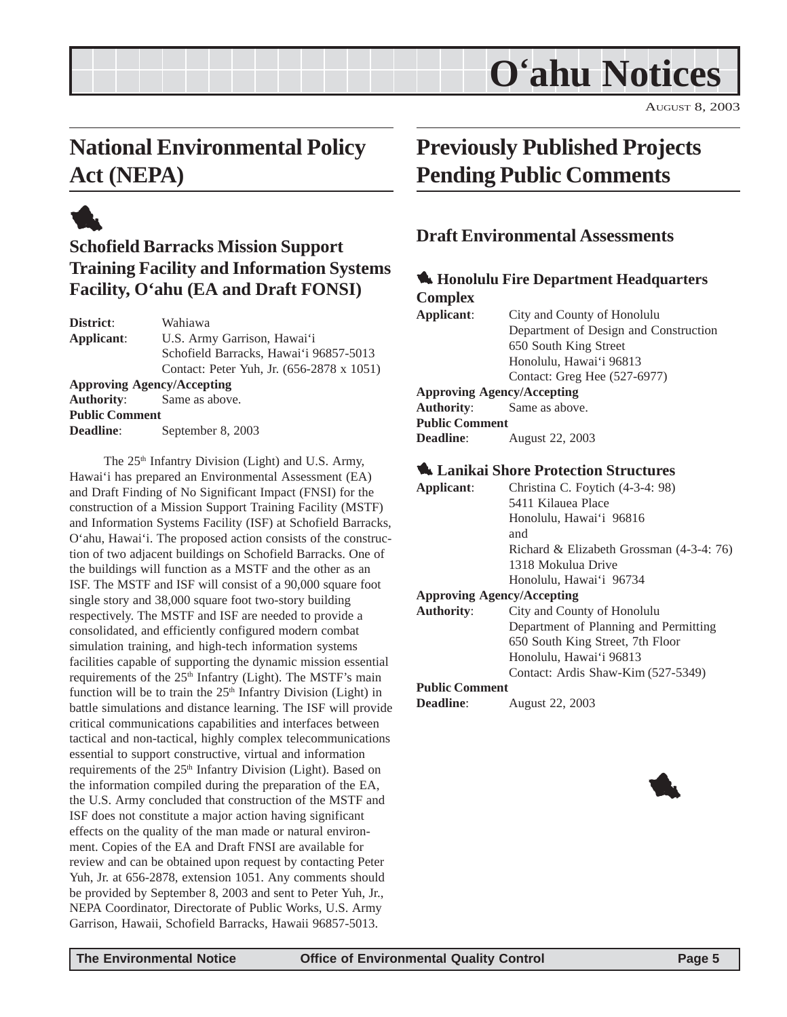## **O'ahu Notices**

AUGUST 8, 2003

## <span id="page-4-0"></span>**National Environmental Policy Act (NEPA)**



## **Schofield Barracks Mission Support Training Facility and Information Systems Facility, O'ahu (EA and Draft FONSI)**

**District**: Wahiawa **Applicant**: U.S. Army Garrison, Hawai'i Schofield Barracks, Hawai'i 96857-5013 Contact: Peter Yuh, Jr. (656-2878 x 1051) **Approving Agency/Accepting Authority**: Same as above. **Public Comment Deadline**: September 8, 2003

The 25<sup>th</sup> Infantry Division (Light) and U.S. Army, Hawai'i has prepared an Environmental Assessment (EA) and Draft Finding of No Significant Impact (FNSI) for the construction of a Mission Support Training Facility (MSTF) and Information Systems Facility (ISF) at Schofield Barracks, O'ahu, Hawai'i. The proposed action consists of the construction of two adjacent buildings on Schofield Barracks. One of the buildings will function as a MSTF and the other as an ISF. The MSTF and ISF will consist of a 90,000 square foot single story and 38,000 square foot two-story building respectively. The MSTF and ISF are needed to provide a consolidated, and efficiently configured modern combat simulation training, and high-tech information systems facilities capable of supporting the dynamic mission essential requirements of the 25<sup>th</sup> Infantry (Light). The MSTF's main function will be to train the  $25<sup>th</sup>$  Infantry Division (Light) in battle simulations and distance learning. The ISF will provide critical communications capabilities and interfaces between tactical and non-tactical, highly complex telecommunications essential to support constructive, virtual and information requirements of the 25<sup>th</sup> Infantry Division (Light). Based on the information compiled during the preparation of the EA, the U.S. Army concluded that construction of the MSTF and ISF does not constitute a major action having significant effects on the quality of the man made or natural environment. Copies of the EA and Draft FNSI are available for review and can be obtained upon request by contacting Peter Yuh, Jr. at 656-2878, extension 1051. Any comments should be provided by September 8, 2003 and sent to Peter Yuh, Jr., NEPA Coordinator, Directorate of Public Works, U.S. Army Garrison, Hawaii, Schofield Barracks, Hawaii 96857-5013.

## **Previously Published Projects Pending Public Comments**

## **Draft Environmental Assessments**

### 1 **Honolulu Fire Department Headquarters Complex**

**Applicant**: City and County of Honolulu Department of Design and Construction 650 South King Street Honolulu, Hawai'i 96813 Contact: Greg Hee (527-6977) **Approving Agency/Accepting Authority**: Same as above.

#### **Public Comment**

**Deadline**: August 22, 2003

#### 1 **Lanikai Shore Protection Structures**

| Applicant:                        | Christina C. Foytich (4-3-4: 98)         |
|-----------------------------------|------------------------------------------|
|                                   | 5411 Kilauea Place                       |
|                                   | Honolulu, Hawai'i 96816                  |
|                                   | and                                      |
|                                   | Richard & Elizabeth Grossman (4-3-4: 76) |
|                                   | 1318 Mokulua Drive                       |
|                                   | Honolulu, Hawai'i 96734                  |
| <b>Approving Agency/Accepting</b> |                                          |
| <b>Authority:</b>                 | City and County of Honolulu              |
|                                   | Department of Planning and Permitting    |
|                                   | 650 South King Street, 7th Floor         |
|                                   | Honolulu, Hawai'i 96813                  |
|                                   | Contact: Ardis Shaw-Kim (527-5349)       |
| <b>Public Comment</b>             |                                          |

**Deadline**: August 22, 2003

1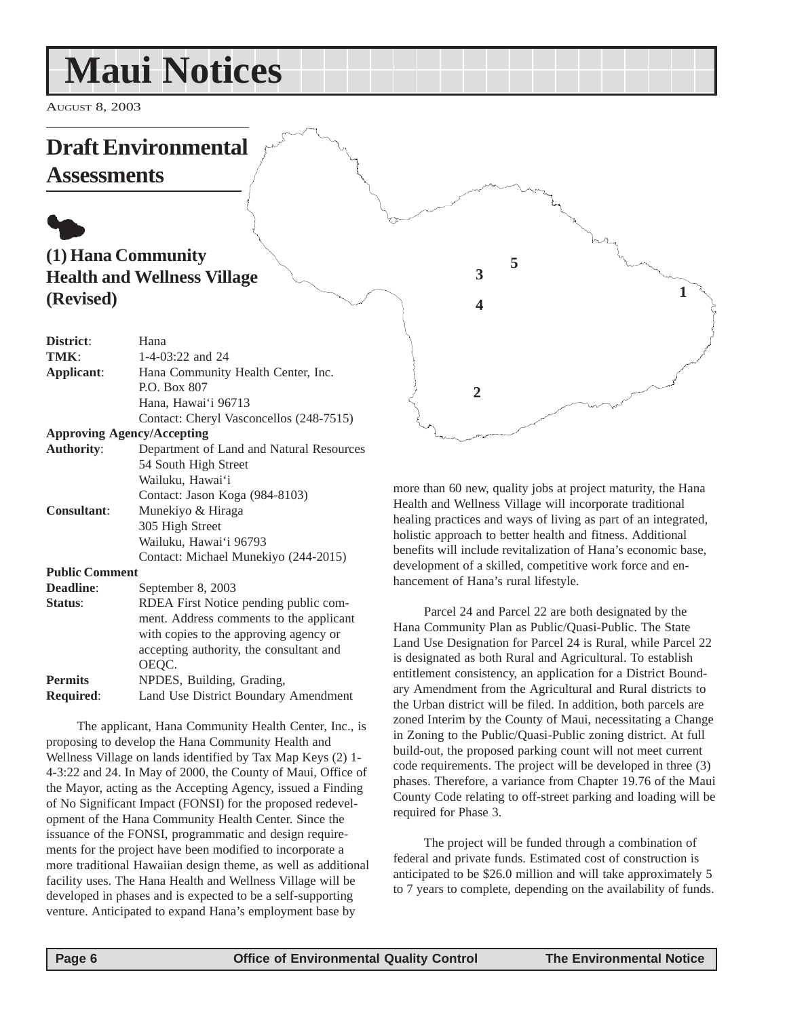## <span id="page-5-0"></span>**Maui Notices**

AUGUST 8, 2003

## **Draft Environmental**

**Assessments**

## $\bullet$ **(1) Hana Community Health and Wellness Village (Revised)**

| District:                         | Hana                                      |
|-----------------------------------|-------------------------------------------|
| TMK:                              | 1-4-03:22 and $24$                        |
| Applicant:                        | Hana Community Health Center, Inc.        |
|                                   | P.O. Box 807                              |
|                                   | Hana, Hawai'i 96713                       |
|                                   | Contact: Cheryl Vasconcellos (248-7515)   |
| <b>Approving Agency/Accepting</b> |                                           |
| <b>Authority:</b>                 | Department of Land and Natural Resources  |
|                                   | 54 South High Street                      |
|                                   | Wailuku, Hawai'i                          |
|                                   | Contact: Jason Koga (984-8103)            |
| <b>Consultant:</b>                | Munekiyo & Hiraga                         |
|                                   | 305 High Street                           |
|                                   | Wailuku, Hawai'i 96793                    |
|                                   | Contact: Michael Munekiyo (244-2015)      |
| <b>Public Comment</b>             |                                           |
| <b>Deadline:</b>                  | September 8, 2003                         |
| Status:                           | RDEA First Notice pending public com-     |
|                                   | ment. Address comments to the applicant   |
|                                   | $with$ copies to the environment consumer |

with copies to the approving agency or accepting authority, the consultant and OEQC. **Permits** NPDES, Building, Grading, **Required**: Land Use District Boundary Amendment

The applicant, Hana Community Health Center, Inc., is proposing to develop the Hana Community Health and Wellness Village on lands identified by Tax Map Keys (2) 1- 4-3:22 and 24. In May of 2000, the County of Maui, Office of the Mayor, acting as the Accepting Agency, issued a Finding of No Significant Impact (FONSI) for the proposed redevelopment of the Hana Community Health Center. Since the issuance of the FONSI, programmatic and design requirements for the project have been modified to incorporate a more traditional Hawaiian design theme, as well as additional facility uses. The Hana Health and Wellness Village will be developed in phases and is expected to be a self-supporting venture. Anticipated to expand Hana's employment base by

more than 60 new, quality jobs at project maturity, the Hana Health and Wellness Village will incorporate traditional healing practices and ways of living as part of an integrated, holistic approach to better health and fitness. Additional benefits will include revitalization of Hana's economic base, development of a skilled, competitive work force and enhancement of Hana's rural lifestyle.

**5**

**4**

**2**

**3**

**1**

Parcel 24 and Parcel 22 are both designated by the Hana Community Plan as Public/Quasi-Public. The State Land Use Designation for Parcel 24 is Rural, while Parcel 22 is designated as both Rural and Agricultural. To establish entitlement consistency, an application for a District Boundary Amendment from the Agricultural and Rural districts to the Urban district will be filed. In addition, both parcels are zoned Interim by the County of Maui, necessitating a Change in Zoning to the Public/Quasi-Public zoning district. At full build-out, the proposed parking count will not meet current code requirements. The project will be developed in three (3) phases. Therefore, a variance from Chapter 19.76 of the Maui County Code relating to off-street parking and loading will be required for Phase 3.

The project will be funded through a combination of federal and private funds. Estimated cost of construction is anticipated to be \$26.0 million and will take approximately 5 to 7 years to complete, depending on the availability of funds.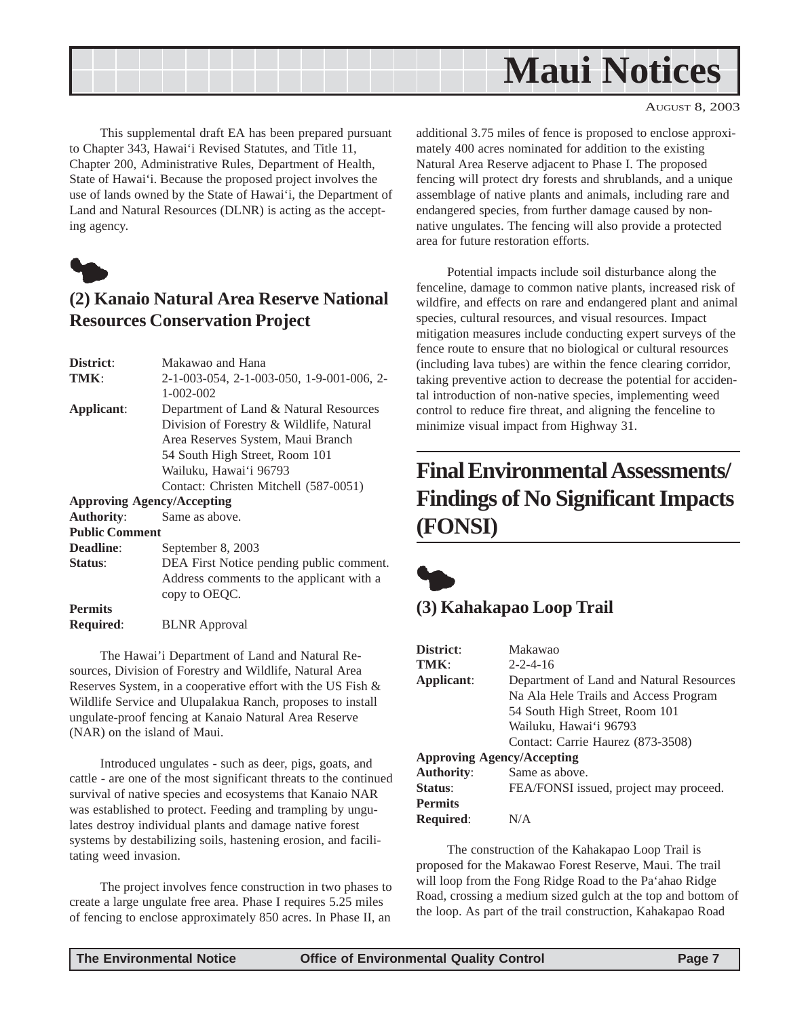<span id="page-6-0"></span>

This supplemental draft EA has been prepared pursuant to Chapter 343, Hawai'i Revised Statutes, and Title 11, Chapter 200, Administrative Rules, Department of Health, State of Hawai'i. Because the proposed project involves the use of lands owned by the State of Hawai'i, the Department of Land and Natural Resources (DLNR) is acting as the accepting agency.



## **(2) Kanaio Natural Area Reserve National Resources Conservation Project**

| District:                         | Makawao and Hana                          |
|-----------------------------------|-------------------------------------------|
| TMK:                              | 2-1-003-054, 2-1-003-050, 1-9-001-006, 2- |
|                                   | $1 - 002 - 002$                           |
| Applicant:                        | Department of Land & Natural Resources    |
|                                   | Division of Forestry & Wildlife, Natural  |
|                                   | Area Reserves System, Maui Branch         |
|                                   | 54 South High Street, Room 101            |
|                                   | Wailuku, Hawai'i 96793                    |
|                                   | Contact: Christen Mitchell (587-0051)     |
| <b>Approving Agency/Accepting</b> |                                           |
| <b>Authority:</b>                 | Same as above.                            |
| <b>Public Comment</b>             |                                           |
| Deadline:                         | September 8, 2003                         |
| <b>Status:</b>                    | DEA First Notice pending public comment.  |
|                                   | Address comments to the applicant with a  |
|                                   | copy to OEQC.                             |
| <b>Permits</b>                    |                                           |
| Required:                         | <b>BLNR</b> Approval                      |

The Hawai'i Department of Land and Natural Resources, Division of Forestry and Wildlife, Natural Area Reserves System, in a cooperative effort with the US Fish & Wildlife Service and Ulupalakua Ranch, proposes to install ungulate-proof fencing at Kanaio Natural Area Reserve (NAR) on the island of Maui.

Introduced ungulates - such as deer, pigs, goats, and cattle - are one of the most significant threats to the continued survival of native species and ecosystems that Kanaio NAR was established to protect. Feeding and trampling by ungulates destroy individual plants and damage native forest systems by destabilizing soils, hastening erosion, and facilitating weed invasion.

The project involves fence construction in two phases to create a large ungulate free area. Phase I requires 5.25 miles of fencing to enclose approximately 850 acres. In Phase II, an

additional 3.75 miles of fence is proposed to enclose approximately 400 acres nominated for addition to the existing Natural Area Reserve adjacent to Phase I. The proposed fencing will protect dry forests and shrublands, and a unique assemblage of native plants and animals, including rare and endangered species, from further damage caused by nonnative ungulates. The fencing will also provide a protected area for future restoration efforts.

Potential impacts include soil disturbance along the fenceline, damage to common native plants, increased risk of wildfire, and effects on rare and endangered plant and animal species, cultural resources, and visual resources. Impact mitigation measures include conducting expert surveys of the fence route to ensure that no biological or cultural resources (including lava tubes) are within the fence clearing corridor, taking preventive action to decrease the potential for accidental introduction of non-native species, implementing weed control to reduce fire threat, and aligning the fenceline to minimize visual impact from Highway 31.

## **Final Environmental Assessments/ Findings of No Significant Impacts (FONSI)**



## **(3) Kahakapao Loop Trail**

| District:                         | Makawao                                  |
|-----------------------------------|------------------------------------------|
| TMK:                              | $2 - 2 - 4 - 16$                         |
| Applicant:                        | Department of Land and Natural Resources |
|                                   | Na Ala Hele Trails and Access Program    |
|                                   | 54 South High Street, Room 101           |
|                                   | Wailuku, Hawai'i 96793                   |
|                                   | Contact: Carrie Haurez (873-3508)        |
| <b>Approving Agency/Accepting</b> |                                          |
| <b>Authority:</b>                 | Same as above.                           |
| Status:                           | FEA/FONSI issued, project may proceed.   |
| <b>Permits</b>                    |                                          |
| <b>Required:</b>                  | N/A                                      |

The construction of the Kahakapao Loop Trail is proposed for the Makawao Forest Reserve, Maui. The trail will loop from the Fong Ridge Road to the Pa'ahao Ridge Road, crossing a medium sized gulch at the top and bottom of the loop. As part of the trail construction, Kahakapao Road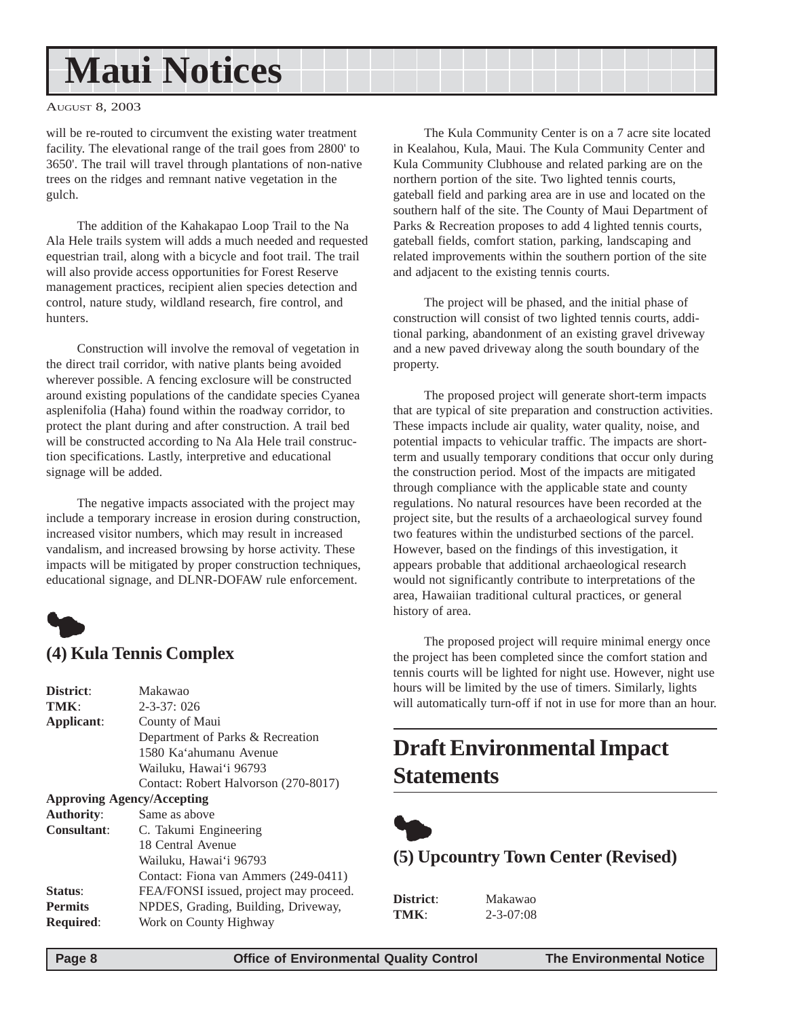## <span id="page-7-0"></span>**Maui Notices**

#### AUGUST 8, 2003

will be re-routed to circumvent the existing water treatment facility. The elevational range of the trail goes from 2800' to 3650'. The trail will travel through plantations of non-native trees on the ridges and remnant native vegetation in the gulch.

The addition of the Kahakapao Loop Trail to the Na Ala Hele trails system will adds a much needed and requested equestrian trail, along with a bicycle and foot trail. The trail will also provide access opportunities for Forest Reserve management practices, recipient alien species detection and control, nature study, wildland research, fire control, and hunters.

Construction will involve the removal of vegetation in the direct trail corridor, with native plants being avoided wherever possible. A fencing exclosure will be constructed around existing populations of the candidate species Cyanea asplenifolia (Haha) found within the roadway corridor, to protect the plant during and after construction. A trail bed will be constructed according to Na Ala Hele trail construction specifications. Lastly, interpretive and educational signage will be added.

The negative impacts associated with the project may include a temporary increase in erosion during construction, increased visitor numbers, which may result in increased vandalism, and increased browsing by horse activity. These impacts will be mitigated by proper construction techniques, educational signage, and DLNR-DOFAW rule enforcement.



| District:                         | Makawao                                |
|-----------------------------------|----------------------------------------|
| TMK:                              | $2 - 3 - 37$ ; 026                     |
| Applicant:                        | County of Maui                         |
|                                   | Department of Parks & Recreation       |
|                                   | 1580 Ka'ahumanu Avenue                 |
|                                   | Wailuku, Hawai'i 96793                 |
|                                   | Contact: Robert Halvorson (270-8017)   |
| <b>Approving Agency/Accepting</b> |                                        |
| <b>Authority:</b>                 | Same as above                          |
| <b>Consultant:</b>                | C. Takumi Engineering                  |
|                                   | 18 Central Avenue                      |
|                                   | Wailuku, Hawai'i 96793                 |
|                                   | Contact: Fiona van Ammers (249-0411)   |
| Status:                           | FEA/FONSI issued, project may proceed. |
| <b>Permits</b>                    | NPDES, Grading, Building, Driveway,    |
| <b>Required:</b>                  | Work on County Highway                 |
|                                   |                                        |

The Kula Community Center is on a 7 acre site located in Kealahou, Kula, Maui. The Kula Community Center and Kula Community Clubhouse and related parking are on the northern portion of the site. Two lighted tennis courts, gateball field and parking area are in use and located on the southern half of the site. The County of Maui Department of Parks & Recreation proposes to add 4 lighted tennis courts, gateball fields, comfort station, parking, landscaping and related improvements within the southern portion of the site and adjacent to the existing tennis courts.

The project will be phased, and the initial phase of construction will consist of two lighted tennis courts, additional parking, abandonment of an existing gravel driveway and a new paved driveway along the south boundary of the property.

The proposed project will generate short-term impacts that are typical of site preparation and construction activities. These impacts include air quality, water quality, noise, and potential impacts to vehicular traffic. The impacts are shortterm and usually temporary conditions that occur only during the construction period. Most of the impacts are mitigated through compliance with the applicable state and county regulations. No natural resources have been recorded at the project site, but the results of a archaeological survey found two features within the undisturbed sections of the parcel. However, based on the findings of this investigation, it appears probable that additional archaeological research would not significantly contribute to interpretations of the area, Hawaiian traditional cultural practices, or general history of area.

The proposed project will require minimal energy once the project has been completed since the comfort station and tennis courts will be lighted for night use. However, night use hours will be limited by the use of timers. Similarly, lights will automatically turn-off if not in use for more than an hour.

## **Draft Environmental Impact Statements**



**(5) Upcountry Town Center (Revised)**

| District: | Maka        |
|-----------|-------------|
| TMK:      | $2 - 3 - 0$ |

**District**: Makawao **T**:08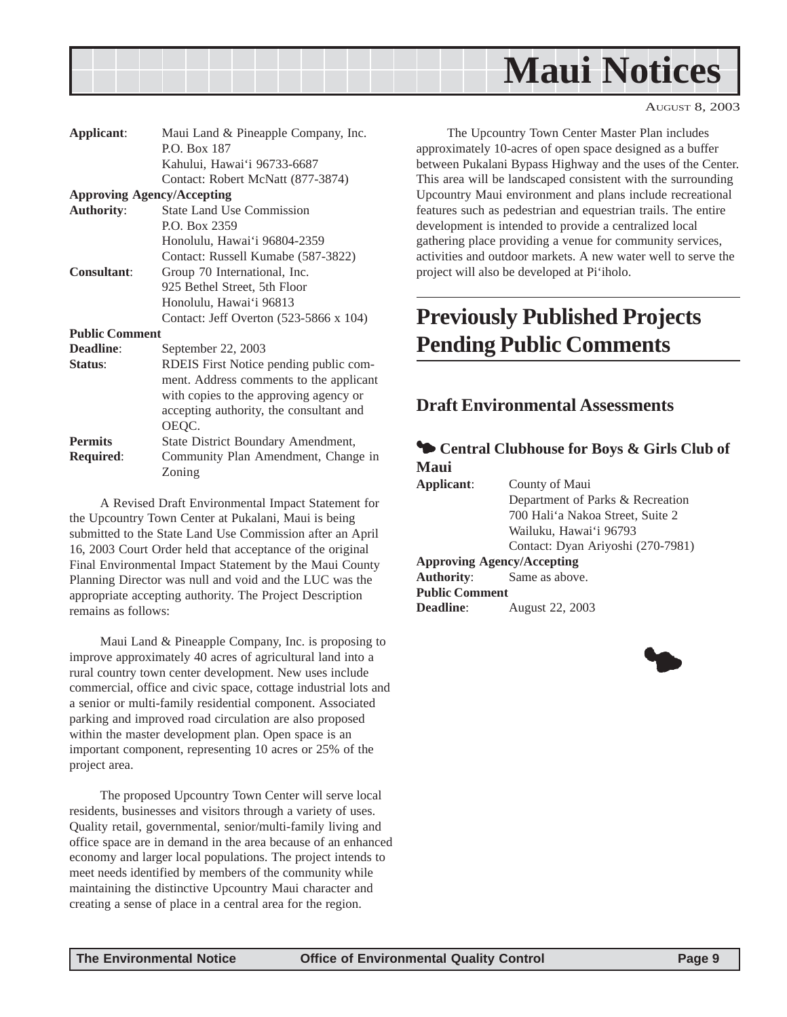<span id="page-8-0"></span>

| Applicant:            | Maui Land & Pineapple Company, Inc.     |
|-----------------------|-----------------------------------------|
|                       | <b>P.O. Box 187</b>                     |
|                       | Kahului, Hawai'i 96733-6687             |
|                       | Contact: Robert McNatt (877-3874)       |
|                       | <b>Approving Agency/Accepting</b>       |
| <b>Authority:</b>     | <b>State Land Use Commission</b>        |
|                       | P.O. Box 2359                           |
|                       | Honolulu, Hawai'i 96804-2359            |
|                       | Contact: Russell Kumabe (587-3822)      |
| <b>Consultant:</b>    | Group 70 International, Inc.            |
|                       | 925 Bethel Street, 5th Floor            |
|                       | Honolulu, Hawai'i 96813                 |
|                       | Contact: Jeff Overton (523-5866 x 104)  |
| <b>Public Comment</b> |                                         |
| Deadline:             | September 22, 2003                      |
| Status:               | RDEIS First Notice pending public com-  |
|                       | ment. Address comments to the applicant |
|                       | with copies to the approving agency or  |
|                       | accepting authority, the consultant and |
|                       | OEQC.                                   |
| <b>Permits</b>        | State District Boundary Amendment,      |
| <b>Required:</b>      | Community Plan Amendment, Change in     |

A Revised Draft Environmental Impact Statement for the Upcountry Town Center at Pukalani, Maui is being submitted to the State Land Use Commission after an April 16, 2003 Court Order held that acceptance of the original Final Environmental Impact Statement by the Maui County Planning Director was null and void and the LUC was the appropriate accepting authority. The Project Description remains as follows:

Zoning

Maui Land & Pineapple Company, Inc. is proposing to improve approximately 40 acres of agricultural land into a rural country town center development. New uses include commercial, office and civic space, cottage industrial lots and a senior or multi-family residential component. Associated parking and improved road circulation are also proposed within the master development plan. Open space is an important component, representing 10 acres or 25% of the project area.

The proposed Upcountry Town Center will serve local residents, businesses and visitors through a variety of uses. Quality retail, governmental, senior/multi-family living and office space are in demand in the area because of an enhanced economy and larger local populations. The project intends to meet needs identified by members of the community while maintaining the distinctive Upcountry Maui character and creating a sense of place in a central area for the region.

The Upcountry Town Center Master Plan includes approximately 10-acres of open space designed as a buffer between Pukalani Bypass Highway and the uses of the Center. This area will be landscaped consistent with the surrounding Upcountry Maui environment and plans include recreational features such as pedestrian and equestrian trails. The entire development is intended to provide a centralized local gathering place providing a venue for community services, activities and outdoor markets. A new water well to serve the project will also be developed at Pi'iholo.

## **Previously Published Projects Pending Public Comments**

### **Draft Environmental Assessments**

### $\bullet$  **Central Clubhouse for Boys & Girls Club of Maui**

**Applicant**: County of Maui Department of Parks & Recreation 700 Hali'a Nakoa Street, Suite 2 Wailuku, Hawai'i 96793 Contact: Dyan Ariyoshi (270-7981) **Approving Agency/Accepting Authority**: Same as above. **Public Comment**

**Deadline**: August 22, 2003

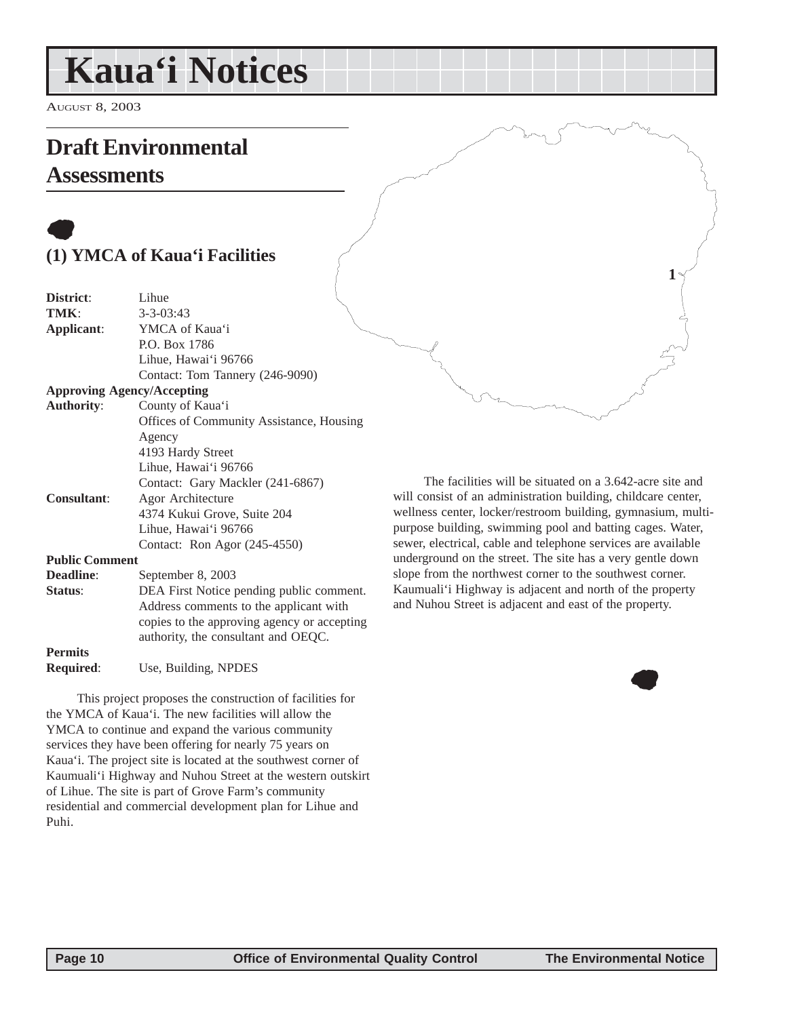## <span id="page-9-0"></span>**Kaua'i Notices**

AUGUST 8, 2003

## **Draft Environmental**

## **Assessments**

## $\bullet$ **(1) YMCA of Kaua'i Facilities**

| TMK:<br>$3 - 3 - 03:43$                             |  |
|-----------------------------------------------------|--|
|                                                     |  |
| YMCA of Kaua'i<br>Applicant:                        |  |
| P.O. Box 1786                                       |  |
| Lihue, Hawai'i 96766                                |  |
| Contact: Tom Tannery (246-9090)                     |  |
| <b>Approving Agency/Accepting</b>                   |  |
| <b>Authority:</b><br>County of Kaua'i               |  |
| <b>Offices of Community Assistance, Housing</b>     |  |
| Agency                                              |  |
| 4193 Hardy Street                                   |  |
| Lihue, Hawai'i 96766                                |  |
| Contact: Gary Mackler (241-6867)                    |  |
| <b>Consultant:</b><br>Agor Architecture             |  |
| 4374 Kukui Grove, Suite 204                         |  |
| Lihue, Hawai'i 96766                                |  |
| Contact: Ron Agor (245-4550)                        |  |
| <b>Public Comment</b>                               |  |
| Deadline:<br>September 8, 2003                      |  |
| Status:<br>DEA First Notice pending public comment. |  |
| Address comments to the applicant with              |  |
| copies to the approving agency or accepting         |  |
| authority, the consultant and OEQC.                 |  |
| <b>Permits</b>                                      |  |

**Required**: Use, Building, NPDES

This project proposes the construction of facilities for the YMCA of Kaua'i. The new facilities will allow the YMCA to continue and expand the various community services they have been offering for nearly 75 years on Kaua'i. The project site is located at the southwest corner of Kaumuali'i Highway and Nuhou Street at the western outskirt of Lihue. The site is part of Grove Farm's community residential and commercial development plan for Lihue and Puhi.

The facilities will be situated on a 3.642-acre site and will consist of an administration building, childcare center, wellness center, locker/restroom building, gymnasium, multipurpose building, swimming pool and batting cages. Water, sewer, electrical, cable and telephone services are available underground on the street. The site has a very gentle down slope from the northwest corner to the southwest corner. Kaumuali'i Highway is adjacent and north of the property and Nuhou Street is adjacent and east of the property.



**1**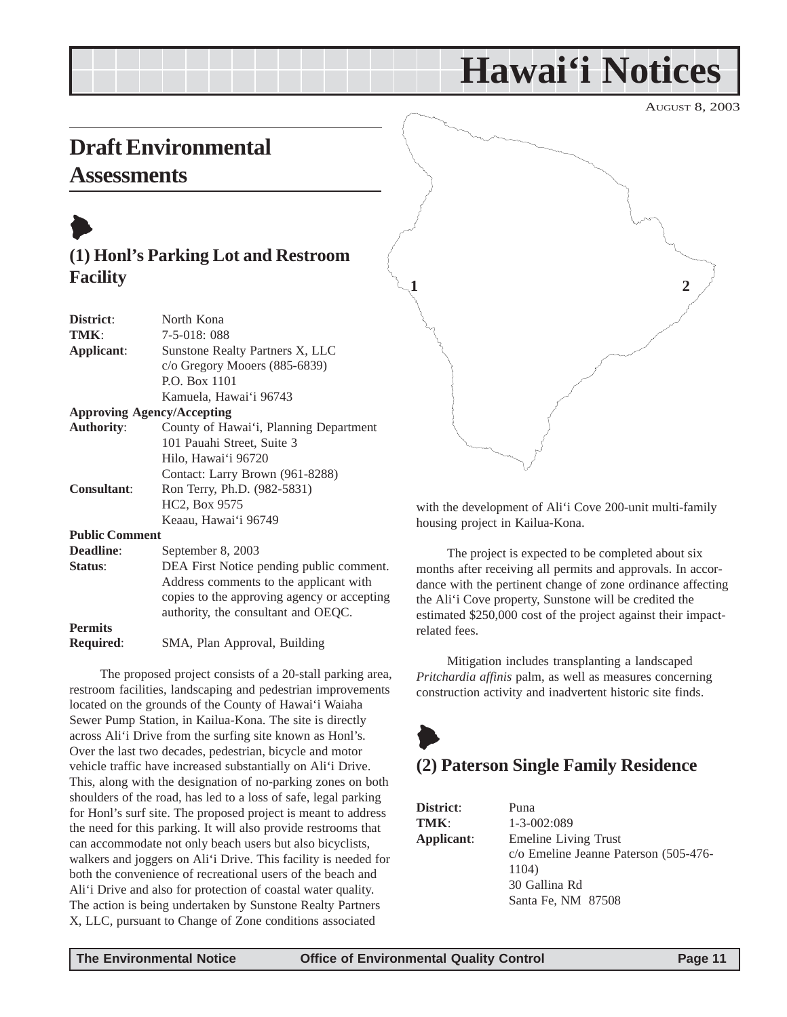## **Hawai'i Notices**

AUGUST 8, 2003

## <span id="page-10-0"></span>**Draft Environmental**

## **Assessments**



## **(1) Honl's Parking Lot and Restroom Facility**

| District:             | North Kona                                  |
|-----------------------|---------------------------------------------|
| TMK:                  | 7-5-018: 088                                |
| Applicant:            | Sunstone Realty Partners X, LLC             |
|                       | $c$ /o Gregory Mooers (885-6839)            |
|                       | P.O. Box 1101                               |
|                       | Kamuela, Hawai'i 96743                      |
|                       | <b>Approving Agency/Accepting</b>           |
| <b>Authority:</b>     | County of Hawai'i, Planning Department      |
|                       | 101 Pauahi Street, Suite 3                  |
|                       | Hilo, Hawai'i 96720                         |
|                       | Contact: Larry Brown (961-8288)             |
| Consultant:           | Ron Terry, Ph.D. (982-5831)                 |
|                       | HC2, Box 9575                               |
|                       | Keaau, Hawai'i 96749                        |
| <b>Public Comment</b> |                                             |
| <b>Deadline:</b>      | September 8, 2003                           |
| Status:               | DEA First Notice pending public comment.    |
|                       | Address comments to the applicant with      |
|                       | copies to the approving agency or accepting |
|                       | authority, the consultant and OEQC.         |

#### **Permits Required**: SMA, Plan Approval, Building

The proposed project consists of a 20-stall parking area, restroom facilities, landscaping and pedestrian improvements located on the grounds of the County of Hawai'i Waiaha Sewer Pump Station, in Kailua-Kona. The site is directly across Ali'i Drive from the surfing site known as Honl's. Over the last two decades, pedestrian, bicycle and motor vehicle traffic have increased substantially on Ali'i Drive. This, along with the designation of no-parking zones on both shoulders of the road, has led to a loss of safe, legal parking for Honl's surf site. The proposed project is meant to address the need for this parking. It will also provide restrooms that can accommodate not only beach users but also bicyclists, walkers and joggers on Ali'i Drive. This facility is needed for both the convenience of recreational users of the beach and Ali'i Drive and also for protection of coastal water quality. The action is being undertaken by Sunstone Realty Partners X, LLC, pursuant to Change of Zone conditions associated



with the development of Ali'i Cove 200-unit multi-family housing project in Kailua-Kona.

The project is expected to be completed about six months after receiving all permits and approvals. In accordance with the pertinent change of zone ordinance affecting the Ali'i Cove property, Sunstone will be credited the estimated \$250,000 cost of the project against their impactrelated fees.

Mitigation includes transplanting a landscaped *Pritchardia affinis* palm, as well as measures concerning construction activity and inadvertent historic site finds.

## $\blacklozenge$ **(2) Paterson Single Family Residence**

| <b>District:</b> | Puna                                                                                               |
|------------------|----------------------------------------------------------------------------------------------------|
| TMK:             | $1 - 3 - 002:089$                                                                                  |
| Applicant:       | Emeline Living Trust                                                                               |
|                  | c/o Emeline Jeanne P                                                                               |
|                  | 1104)                                                                                              |
|                  | 30 Gallina Rd                                                                                      |
|                  | $C_{\text{out}}$ $E_{\text{in}}$ MM $\theta$ $\theta$ $\theta$ $\theta$ $\theta$ $\theta$ $\theta$ |

nne Paterson (505-476-Santa Fe, NM 87508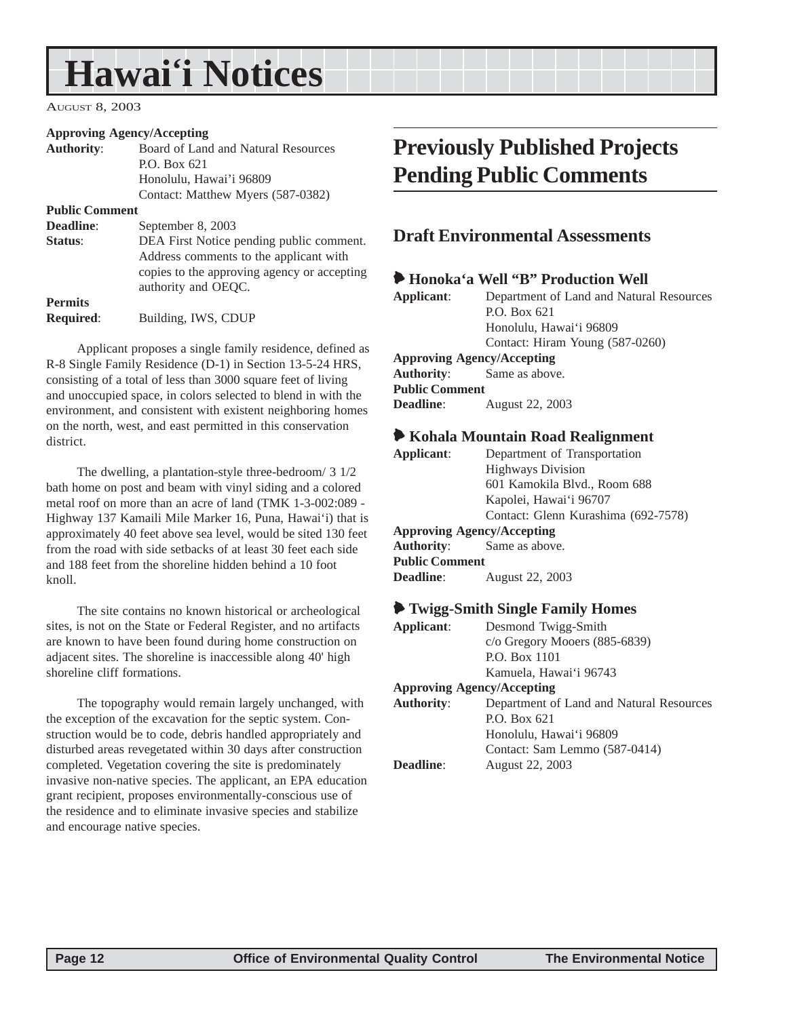## <span id="page-11-0"></span>**Hawai'i Notices**

AUGUST 8, 2003

#### **Approving Agency/Accepting**

| <b>Authority:</b>     | Board of Land and Natural Resources                                                |
|-----------------------|------------------------------------------------------------------------------------|
|                       | P.O. Box 621                                                                       |
|                       | Honolulu, Hawai'i 96809                                                            |
|                       | Contact: Matthew Myers (587-0382)                                                  |
| <b>Public Comment</b> |                                                                                    |
| <b>Deadline:</b>      | September 8, 2003                                                                  |
| Status:               | DEA First Notice pending public comment.<br>Address comments to the applicant with |
|                       | copies to the approving agency or accepting<br>authority and OEQC.                 |
| <b>Permits</b>        |                                                                                    |
| <b>Required:</b>      | Building, IWS, CDUP                                                                |

Applicant proposes a single family residence, defined as R-8 Single Family Residence (D-1) in Section 13-5-24 HRS, consisting of a total of less than 3000 square feet of living and unoccupied space, in colors selected to blend in with the environment, and consistent with existent neighboring homes on the north, west, and east permitted in this conservation district.

The dwelling, a plantation-style three-bedroom/ 3 1/2 bath home on post and beam with vinyl siding and a colored metal roof on more than an acre of land (TMK 1-3-002:089 - Highway 137 Kamaili Mile Marker 16, Puna, Hawai'i) that is approximately 40 feet above sea level, would be sited 130 feet from the road with side setbacks of at least 30 feet each side and 188 feet from the shoreline hidden behind a 10 foot knoll.

The site contains no known historical or archeological sites, is not on the State or Federal Register, and no artifacts are known to have been found during home construction on adjacent sites. The shoreline is inaccessible along 40' high shoreline cliff formations.

The topography would remain largely unchanged, with the exception of the excavation for the septic system. Construction would be to code, debris handled appropriately and disturbed areas revegetated within 30 days after construction completed. Vegetation covering the site is predominately invasive non-native species. The applicant, an EPA education grant recipient, proposes environmentally-conscious use of the residence and to eliminate invasive species and stabilize and encourage native species.

## **Previously Published Projects Pending Public Comments**

### **Draft Environmental Assessments**

|                       | Honoka'a Well "B" Production Well        |
|-----------------------|------------------------------------------|
| Applicant:            | Department of Land and Natural Resources |
|                       | P.O. Box 621                             |
|                       | Honolulu, Hawai'i 96809                  |
|                       | Contact: Hiram Young (587-0260)          |
|                       | <b>Approving Agency/Accepting</b>        |
|                       | <b>Authority:</b> Same as above.         |
| <b>Public Comment</b> |                                          |
| <b>Deadline:</b>      | August 22, 2003                          |
|                       |                                          |

#### 6 **Kohala Mountain Road Realignment**

| Applicant:                        | Department of Transportation        |  |
|-----------------------------------|-------------------------------------|--|
|                                   | <b>Highways Division</b>            |  |
|                                   | 601 Kamokila Blvd., Room 688        |  |
|                                   | Kapolei, Hawai'i 96707              |  |
|                                   | Contact: Glenn Kurashima (692-7578) |  |
| <b>Approving Agency/Accepting</b> |                                     |  |
| <b>Authority:</b> Same as above.  |                                     |  |
| <b>Public Comment</b>             |                                     |  |
| <b>Deadline:</b>                  | August 22, 2003                     |  |
|                                   |                                     |  |

#### 6 **Twigg-Smith Single Family Homes**

| Applicant:        | Desmond Twigg-Smith                      |
|-------------------|------------------------------------------|
|                   | c/o Gregory Mooers (885-6839)            |
|                   | P.O. Box 1101                            |
|                   | Kamuela, Hawai'i 96743                   |
|                   | <b>Approving Agency/Accepting</b>        |
| <b>Authority:</b> | Department of Land and Natural Resources |
|                   | $P0$ . Box 621                           |
|                   | Honolulu, Hawai'i 96809                  |
|                   | Contact: Sam Lemmo (587-0414)            |
| Deadline:         | August 22, 2003                          |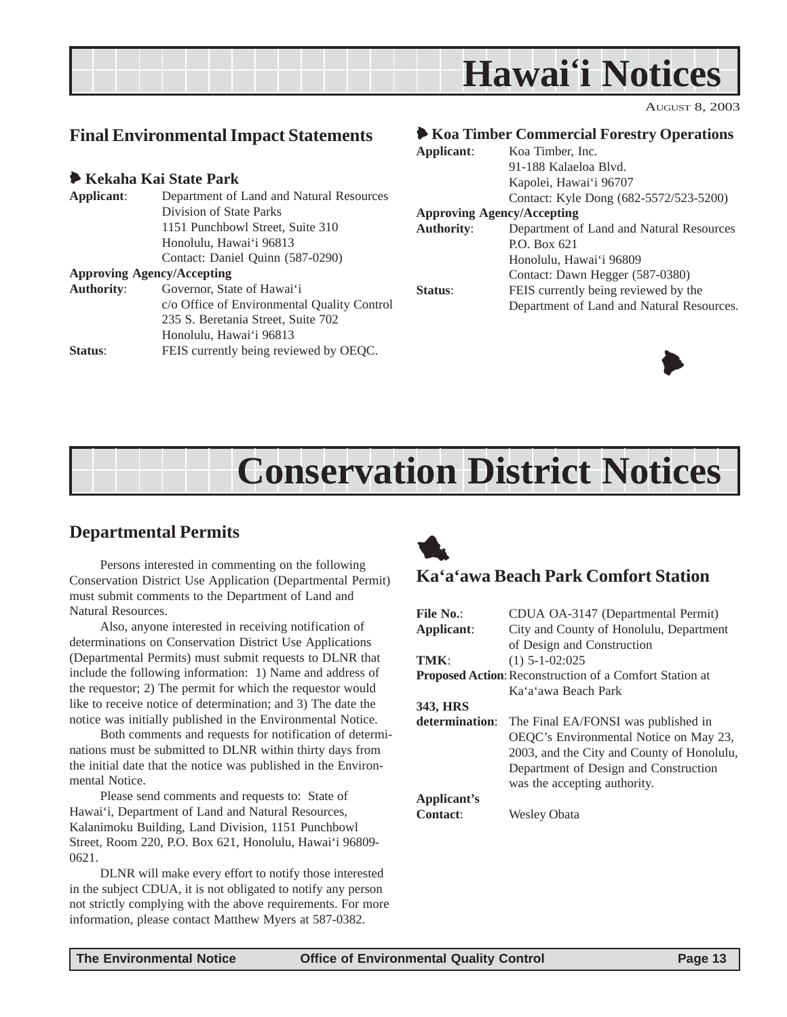<span id="page-12-0"></span>

## **Final Environmental Impact Statements**

#### 6 **Kekaha Kai State Park**

| Applicant:                        | Department of Land and Natural Resources    |  |
|-----------------------------------|---------------------------------------------|--|
|                                   | Division of State Parks                     |  |
|                                   | 1151 Punchbowl Street, Suite 310            |  |
|                                   | Honolulu, Hawai'i 96813                     |  |
|                                   | Contact: Daniel Quinn (587-0290)            |  |
| <b>Approving Agency/Accepting</b> |                                             |  |
| <b>Authority:</b>                 | Governor, State of Hawai'i                  |  |
|                                   | c/o Office of Environmental Quality Control |  |
|                                   | 235 S. Beretania Street, Suite 702          |  |
|                                   | Honolulu, Hawai'i 96813                     |  |
| Status:                           | FEIS currently being reviewed by OEQC.      |  |

#### 6 **Koa Timber Commercial Forestry Operations**

| Applicant:                        | Koa Timber, Inc.                          |
|-----------------------------------|-------------------------------------------|
|                                   | 91-188 Kalaeloa Blvd.                     |
|                                   | Kapolei, Hawai'i 96707                    |
|                                   | Contact: Kyle Dong (682-5572/523-5200)    |
| <b>Approving Agency/Accepting</b> |                                           |
| <b>Authority:</b>                 | Department of Land and Natural Resources  |
|                                   | P.O. Box 621                              |
|                                   | Honolulu, Hawai'i 96809                   |
|                                   | Contact: Dawn Hegger (587-0380)           |
| <b>Status:</b>                    | FEIS currently being reviewed by the      |
|                                   | Department of Land and Natural Resources. |
|                                   |                                           |



## **Conservation District Notices**

## **Departmental Permits**

Persons interested in commenting on the following Conservation District Use Application (Departmental Permit) must submit comments to the Department of Land and Natural Resources.

Also, anyone interested in receiving notification of determinations on Conservation District Use Applications (Departmental Permits) must submit requests to DLNR that include the following information: 1) Name and address of the requestor; 2) The permit for which the requestor would like to receive notice of determination; and 3) The date the notice was initially published in the Environmental Notice.

Both comments and requests for notification of determinations must be submitted to DLNR within thirty days from the initial date that the notice was published in the Environmental Notice.

Please send comments and requests to: State of Hawai'i, Department of Land and Natural Resources, Kalanimoku Building, Land Division, 1151 Punchbowl Street, Room 220, P.O. Box 621, Honolulu, Hawai'i 96809- 0621.

DLNR will make every effort to notify those interested in the subject CDUA, it is not obligated to notify any person not strictly complying with the above requirements. For more information, please contact Matthew Myers at 587-0382.



### **Ka'a'awa Beach Park Comfort Station**

| File No.:       | CDUA OA-3147 (Departmental Permit)                      |  |
|-----------------|---------------------------------------------------------|--|
| Applicant:      | City and County of Honolulu, Department                 |  |
|                 | of Design and Construction                              |  |
| TMK·            | $(1)$ 5-1-02:025                                        |  |
|                 | Proposed Action: Reconstruction of a Comfort Station at |  |
|                 | Ka'a'awa Beach Park                                     |  |
| 343, HRS        |                                                         |  |
| determination:  | The Final EA/FONSI was published in                     |  |
|                 | OEOC's Environmental Notice on May 23,                  |  |
|                 | 2003, and the City and County of Honolulu,              |  |
|                 | Department of Design and Construction                   |  |
|                 | was the accepting authority.                            |  |
| Applicant's     |                                                         |  |
| <b>Contact:</b> | Wesley Obata                                            |  |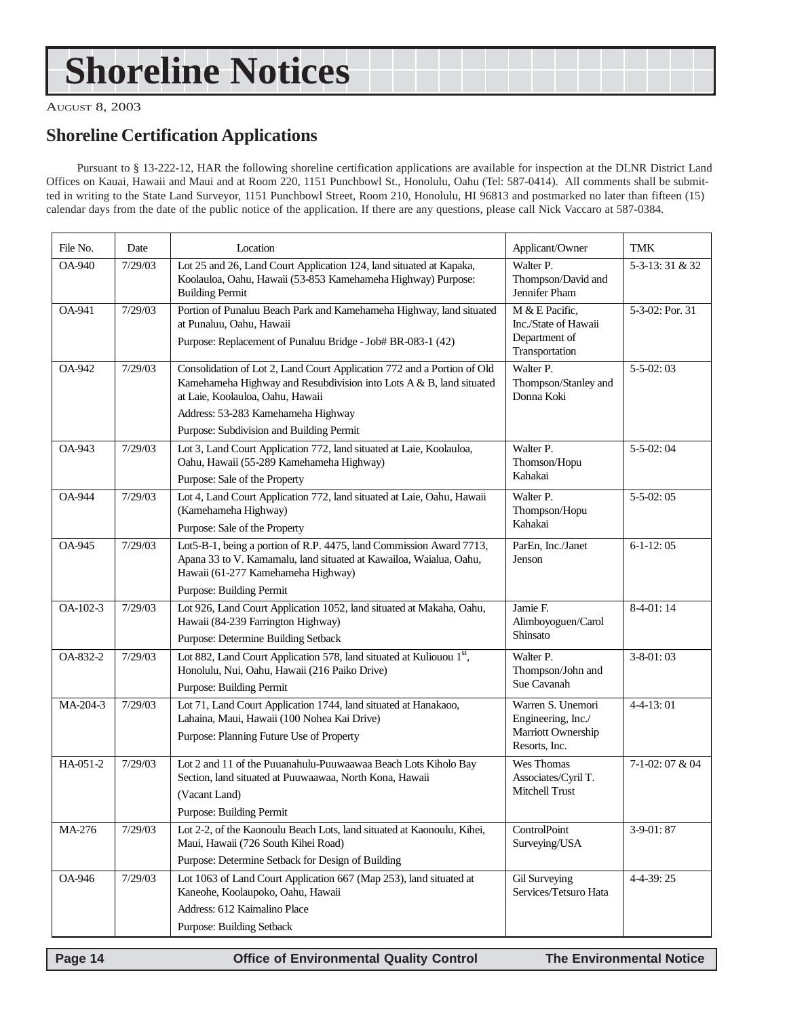## <span id="page-13-0"></span>**Shoreline Notices**

AUGUST 8, 2003

## **Shoreline Certification Applications**

Pursuant to § 13-222-12, HAR the following shoreline certification applications are available for inspection at the DLNR District Land Offices on Kauai, Hawaii and Maui and at Room 220, 1151 Punchbowl St., Honolulu, Oahu (Tel: 587-0414). All comments shall be submitted in writing to the State Land Surveyor, 1151 Punchbowl Street, Room 210, Honolulu, HI 96813 and postmarked no later than fifteen (15) calendar days from the date of the public notice of the application. If there are any questions, please call Nick Vaccaro at 587-0384.

| File No.      | Date    | Location                                                                                                                                                                                                                                                             | Applicant/Owner                                                                | TMK             |
|---------------|---------|----------------------------------------------------------------------------------------------------------------------------------------------------------------------------------------------------------------------------------------------------------------------|--------------------------------------------------------------------------------|-----------------|
| <b>OA-940</b> | 7/29/03 | Lot 25 and 26, Land Court Application 124, land situated at Kapaka,<br>Koolauloa, Oahu, Hawaii (53-853 Kamehameha Highway) Purpose:<br><b>Building Permit</b>                                                                                                        | Walter P.<br>Thompson/David and<br>Jennifer Pham                               | 5-3-13:31 & 32  |
| OA-941        | 7/29/03 | Portion of Punaluu Beach Park and Kamehameha Highway, land situated<br>at Punaluu, Oahu, Hawaii<br>Purpose: Replacement of Punaluu Bridge - Job# BR-083-1 (42)                                                                                                       | M & E Pacific,<br>Inc./State of Hawaii<br>Department of<br>Transportation      | 5-3-02: Por. 31 |
| OA-942        | 7/29/03 | Consolidation of Lot 2, Land Court Application 772 and a Portion of Old<br>Kamehameha Highway and Resubdivision into Lots A & B, land situated<br>at Laie, Koolauloa, Oahu, Hawaii<br>Address: 53-283 Kamehameha Highway<br>Purpose: Subdivision and Building Permit | Walter P.<br>Thompson/Stanley and<br>Donna Koki                                | $5 - 5 - 02:03$ |
| OA-943        | 7/29/03 | Lot 3, Land Court Application 772, land situated at Laie, Koolauloa,<br>Oahu, Hawaii (55-289 Kamehameha Highway)<br>Purpose: Sale of the Property                                                                                                                    | Walter P.<br>Thomson/Hopu<br>Kahakai                                           | $5-5-02:04$     |
| <b>OA-944</b> | 7/29/03 | Lot 4, Land Court Application 772, land situated at Laie, Oahu, Hawaii<br>(Kamehameha Highway)<br>Purpose: Sale of the Property                                                                                                                                      | Walter P.<br>Thompson/Hopu<br>Kahakai                                          | $5 - 5 - 02:05$ |
| <b>OA-945</b> | 7/29/03 | Lot5-B-1, being a portion of R.P. 4475, land Commission Award 7713,<br>Apana 33 to V. Kamamalu, land situated at Kawailoa, Waialua, Oahu,<br>Hawaii (61-277 Kamehameha Highway)<br><b>Purpose: Building Permit</b>                                                   | ParEn, Inc./Janet<br>Jenson                                                    | $6-1-12:05$     |
| OA-102-3      | 7/29/03 | Lot 926, Land Court Application 1052, land situated at Makaha, Oahu,<br>Hawaii (84-239 Farrington Highway)<br>Purpose: Determine Building Setback                                                                                                                    | Jamie F.<br>Alimboyoguen/Carol<br>Shinsato                                     | $8-4-01:14$     |
| OA-832-2      | 7/29/03 | Lot 882, Land Court Application 578, land situated at Kuliouou 1st,<br>Honolulu, Nui, Oahu, Hawaii (216 Paiko Drive)<br><b>Purpose: Building Permit</b>                                                                                                              | Walter P.<br>Thompson/John and<br>Sue Cavanah                                  | $3 - 8 - 01:03$ |
| MA-204-3      | 7/29/03 | Lot 71, Land Court Application 1744, land situated at Hanakaoo,<br>Lahaina, Maui, Hawaii (100 Nohea Kai Drive)<br>Purpose: Planning Future Use of Property                                                                                                           | Warren S. Unemori<br>Engineering, Inc./<br>Marriott Ownership<br>Resorts, Inc. | $4 - 4 - 13:01$ |
| HA-051-2      | 7/29/03 | Lot 2 and 11 of the Puuanahulu-Puuwaawaa Beach Lots Kiholo Bay<br>Section, land situated at Puuwaawaa, North Kona, Hawaii<br>(Vacant Land)<br><b>Purpose: Building Permit</b>                                                                                        | Wes Thomas<br>Associates/Cyril T.<br><b>Mitchell Trust</b>                     | 7-1-02:07 & 04  |
| MA-276        | 7/29/03 | Lot 2-2, of the Kaonoulu Beach Lots, land situated at Kaonoulu, Kihei,<br>Maui, Hawaii (726 South Kihei Road)<br>Purpose: Determine Setback for Design of Building                                                                                                   | ControlPoint<br>Surveying/USA                                                  | $3-9-01:87$     |
| OA-946        | 7/29/03 | Lot 1063 of Land Court Application 667 (Map 253), land situated at<br>Kaneohe, Koolaupoko, Oahu, Hawaii<br>Address: 612 Kaimalino Place<br><b>Purpose: Building Setback</b>                                                                                          | Gil Surveying<br>Services/Tetsuro Hata                                         | 4-4-39:25       |

 **Page 14 Control Control Control Control Page 14 Control Control Control Page 14 The Environmental Notice**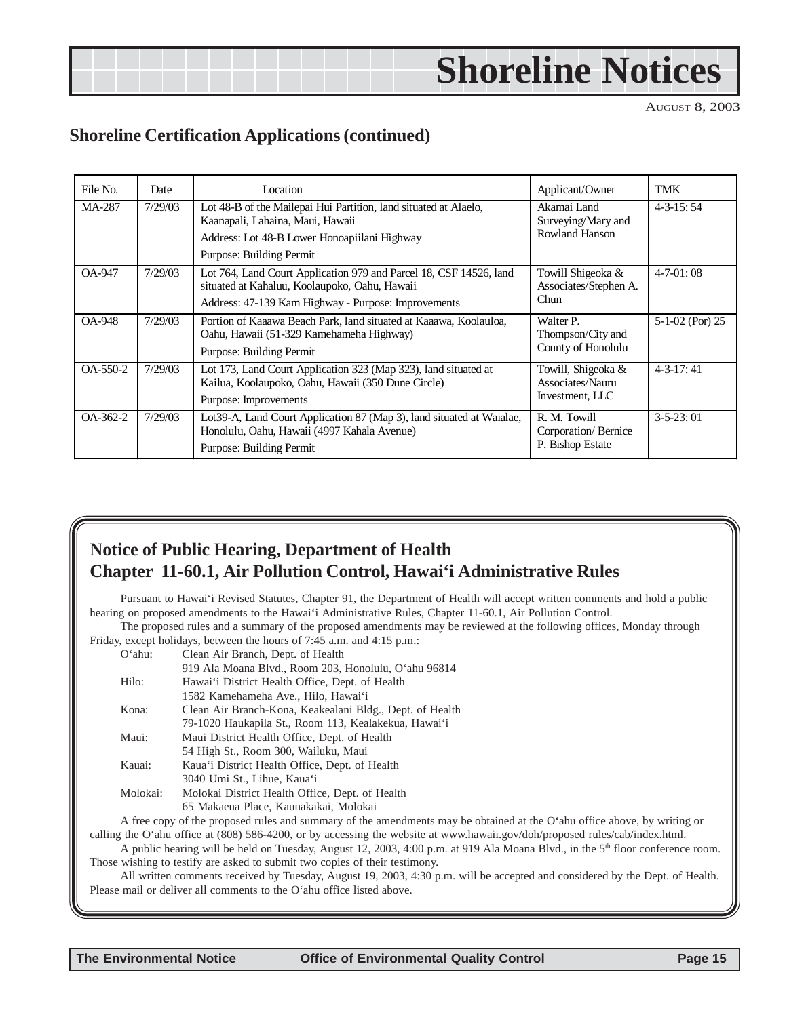|  | <b>Shoreline Notices</b> |
|--|--------------------------|
|  |                          |

## **Shoreline Certification Applications (continued)**

| File No.       | Date    | Location                                                                                                                                                                         | Applicant/Owner                                           | TMK               |
|----------------|---------|----------------------------------------------------------------------------------------------------------------------------------------------------------------------------------|-----------------------------------------------------------|-------------------|
| MA-287         | 7/29/03 | Lot 48-B of the Mailepai Hui Partition, land situated at Alaelo,<br>Kaanapali, Lahaina, Maui, Hawaii<br>Address: Lot 48-B Lower Honoapiilani Highway<br>Purpose: Building Permit | Akamai Land<br>Surveying/Mary and<br>Rowland Hanson       | $4 - 3 - 15:54$   |
| <b>OA-947</b>  | 7/29/03 | Lot 764, Land Court Application 979 and Parcel 18, CSF 14526, land<br>situated at Kahaluu, Koolaupoko, Oahu, Hawaii<br>Address: 47-139 Kam Highway - Purpose: Improvements       | Towill Shigeoka &<br>Associates/Stephen A.<br>Chun        | $4-7-01:08$       |
| <b>OA-948</b>  | 7/29/03 | Portion of Kaaawa Beach Park, land situated at Kaaawa, Koolauloa,<br>Oahu, Hawaii (51-329 Kamehameha Highway)<br>Purpose: Building Permit                                        | Walter P.<br>Thompson/City and<br>County of Honolulu      | $5-1-02$ (Por) 25 |
| $OA-550-2$     | 7/29/03 | Lot 173, Land Court Application 323 (Map 323), land situated at<br>Kailua, Koolaupoko, Oahu, Hawaii (350 Dune Circle)<br>Purpose: Improvements                                   | Towill, Shigeoka &<br>Associates/Nauru<br>Investment, LLC | $4 - 3 - 17$ : 41 |
| $OA - 362 - 2$ | 7/29/03 | Lot 39-A, Land Court Application 87 (Map 3), land situated at Waialae,<br>Honolulu, Oahu, Hawaii (4997 Kahala Avenue)<br>Purpose: Building Permit                                | R. M. Towill<br>Corporation/Bernice<br>P. Bishop Estate   | $3 - 5 - 23:01$   |

## **Notice of Public Hearing, Department of Health Chapter 11-60.1, Air Pollution Control, Hawai'i Administrative Rules**

Pursuant to Hawai'i Revised Statutes, Chapter 91, the Department of Health will accept written comments and hold a public hearing on proposed amendments to the Hawai'i Administrative Rules, Chapter 11-60.1, Air Pollution Control.

The proposed rules and a summary of the proposed amendments may be reviewed at the following offices, Monday through Friday, except holidays, between the hours of 7:45 a.m. and 4:15 p.m.:

| $O'$ ahu: | Clean Air Branch, Dept. of Health                                                                                                                                                                                                                                                                                                                              |
|-----------|----------------------------------------------------------------------------------------------------------------------------------------------------------------------------------------------------------------------------------------------------------------------------------------------------------------------------------------------------------------|
|           | 919 Ala Moana Blvd., Room 203, Honolulu, O'ahu 96814                                                                                                                                                                                                                                                                                                           |
| Hilo:     | Hawai'i District Health Office, Dept. of Health                                                                                                                                                                                                                                                                                                                |
|           | 1582 Kamehameha Ave., Hilo, Hawai'i                                                                                                                                                                                                                                                                                                                            |
| Kona:     | Clean Air Branch-Kona, Keakealani Bldg., Dept. of Health                                                                                                                                                                                                                                                                                                       |
|           | 79-1020 Haukapila St., Room 113, Kealakekua, Hawai'i                                                                                                                                                                                                                                                                                                           |
| Maui:     | Maui District Health Office, Dept. of Health                                                                                                                                                                                                                                                                                                                   |
|           | 54 High St., Room 300, Wailuku, Maui                                                                                                                                                                                                                                                                                                                           |
| Kauai:    | Kaua'i District Health Office, Dept. of Health                                                                                                                                                                                                                                                                                                                 |
|           | 3040 Umi St., Lihue, Kaua'i                                                                                                                                                                                                                                                                                                                                    |
| Molokai:  | Molokai District Health Office, Dept. of Health                                                                                                                                                                                                                                                                                                                |
|           | 65 Makaena Place, Kaunakakai, Molokai                                                                                                                                                                                                                                                                                                                          |
|           | $\lambda$ . $\alpha$ . $\alpha$ . $\alpha$ . $\alpha$ . $\alpha$ . $\alpha$ . $\alpha$ . $\alpha$ . $\alpha$ . $\alpha$ . $\alpha$ . $\alpha$ . $\alpha$ . $\alpha$ . $\alpha$ . $\alpha$ . $\alpha$ . $\alpha$ . $\alpha$ . $\alpha$ . $\alpha$ . $\alpha$ . $\alpha$ . $\alpha$ . $\alpha$ . $\alpha$ . $\alpha$ . $\alpha$ . $\alpha$ . $\alpha$ . $\alpha$ |

A free copy of the proposed rules and summary of the amendments may be obtained at the O'ahu office above, by writing or calling the O'ahu office at (808) 586-4200, or by accessing the website at www.hawaii.gov/doh/proposed rules/cab/index.html.

A public hearing will be held on Tuesday, August 12, 2003, 4:00 p.m. at 919 Ala Moana Blvd., in the 5<sup>th</sup> floor conference room. Those wishing to testify are asked to submit two copies of their testimony.

All written comments received by Tuesday, August 19, 2003, 4:30 p.m. will be accepted and considered by the Dept. of Health. Please mail or deliver all comments to the O'ahu office listed above.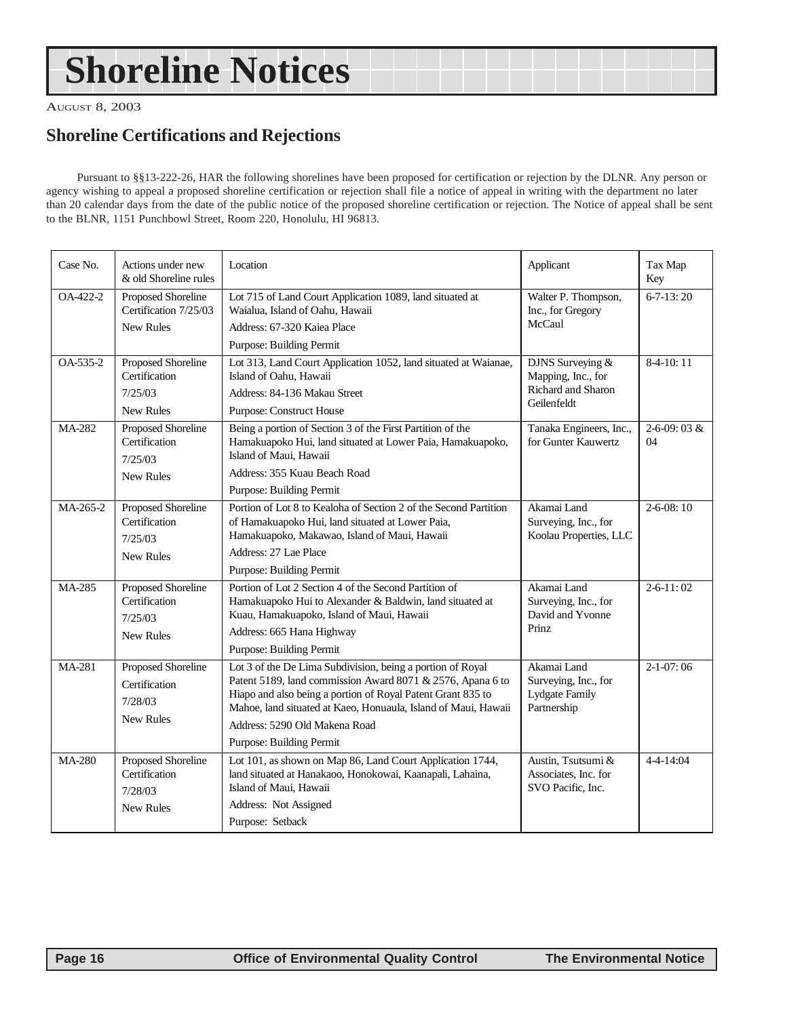## **Shoreline Notices**

AUGUST 8, 2003

## **Shoreline Certifications and Rejections**

Pursuant to §§13-222-26, HAR the following shorelines have been proposed for certification or rejection by the DLNR. Any person or agency wishing to appeal a proposed shoreline certification or rejection shall file a notice of appeal in writing with the department no later than 20 calendar days from the date of the public notice of the proposed shoreline certification or rejection. The Notice of appeal shall be sent to the BLNR, 1151 Punchbowl Street, Room 220, Honolulu, HI 96813.

| Case No.      | Actions under new<br>& old Shoreline rules                         | Location                                                                                                                                                                                                                                                                                                               | Applicant                                                                   | Tax Map<br>Key          |
|---------------|--------------------------------------------------------------------|------------------------------------------------------------------------------------------------------------------------------------------------------------------------------------------------------------------------------------------------------------------------------------------------------------------------|-----------------------------------------------------------------------------|-------------------------|
| OA-422-2      | Proposed Shoreline<br>Certification 7/25/03<br><b>New Rules</b>    | Lot 715 of Land Court Application 1089, land situated at<br>Waialua, Island of Oahu, Hawaii<br>Address: 67-320 Kajea Place<br>Purpose: Building Permit                                                                                                                                                                 | Walter P. Thompson,<br>Inc., for Gregory<br>McCaul                          | $6 - 7 - 13:20$         |
| $OA-535-2$    | Proposed Shoreline<br>Certification<br>7/25/03<br><b>New Rules</b> | Lot 313, Land Court Application 1052, land situated at Waianae,<br>Island of Oahu, Hawaii<br>Address: 84-136 Makau Street<br><b>Purpose: Construct House</b>                                                                                                                                                           | DJNS Surveying &<br>Mapping, Inc., for<br>Richard and Sharon<br>Geilenfeldt | $8-4-10:11$             |
| <b>MA-282</b> | Proposed Shoreline<br>Certification<br>7/25/03<br><b>New Rules</b> | Being a portion of Section 3 of the First Partition of the<br>Hamakuapoko Hui, land situated at Lower Paia, Hamakuapoko,<br>Island of Maui, Hawaii<br>Address: 355 Kuau Beach Road<br>Purpose: Building Permit                                                                                                         | Tanaka Engineers, Inc.,<br>for Gunter Kauwertz                              | $2 - 6 - 09:03$ &<br>04 |
| MA-265-2      | Proposed Shoreline<br>Certification<br>7/25/03<br><b>New Rules</b> | Portion of Lot 8 to Kealoha of Section 2 of the Second Partition<br>of Hamakuapoko Hui, land situated at Lower Paia,<br>Hamakuapoko, Makawao, Island of Maui, Hawaii<br>Address: 27 Lae Place<br>Purpose: Building Permit                                                                                              | Akamai Land<br>Surveying, Inc., for<br>Koolau Properties, LLC               | $2 - 6 - 08:10$         |
| <b>MA-285</b> | Proposed Shoreline<br>Certification<br>7/25/03<br><b>New Rules</b> | Portion of Lot 2 Section 4 of the Second Partition of<br>Hamakuapoko Hui to Alexander & Baldwin, land situated at<br>Kuau, Hamakuapoko, Island of Maui, Hawaii<br>Address: 665 Hana Highway<br>Purpose: Building Permit                                                                                                | Akamai Land<br>Surveying, Inc., for<br>David and Yvonne<br>Prinz            | $2 - 6 - 11:02$         |
| MA-281        | Proposed Shoreline<br>Certification<br>7/28/03<br><b>New Rules</b> | Lot 3 of the De Lima Subdivision, being a portion of Royal<br>Patent 5189, land commission Award 8071 & 2576, Apana 6 to<br>Hiapo and also being a portion of Royal Patent Grant 835 to<br>Mahoe, land situated at Kaeo, Honuaula, Island of Maui, Hawaii<br>Address: 5290 Old Makena Road<br>Purpose: Building Permit | Akamai Land<br>Surveying, Inc., for<br>Lydgate Family<br>Partnership        | $2-1-07:06$             |
| <b>MA-280</b> | Proposed Shoreline<br>Certification<br>7/28/03<br><b>New Rules</b> | Lot 101, as shown on Map 86, Land Court Application 1744,<br>land situated at Hanakaoo, Honokowai, Kaanapali, Lahaina,<br>Island of Maui, Hawaii<br>Address: Not Assigned<br>Purpose: Setback                                                                                                                          | Austin, Tsutsumi &<br>Associates, Inc. for<br>SVO Pacific, Inc.             | $4 - 4 - 14:04$         |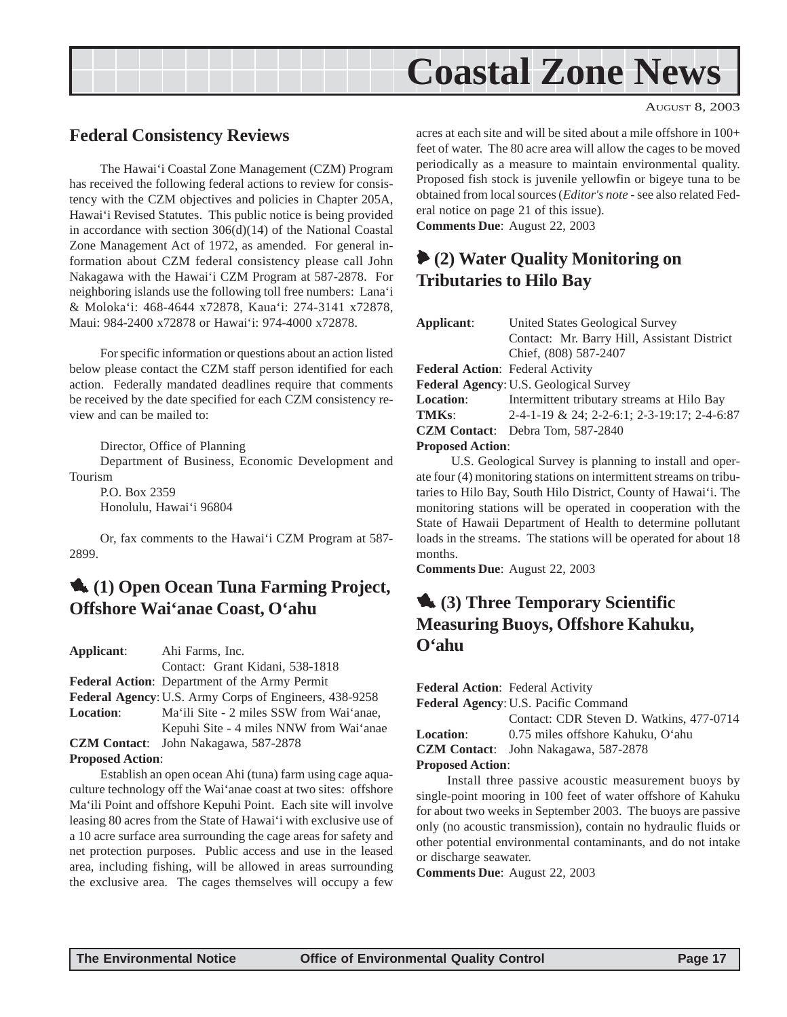<span id="page-16-0"></span>

### **Federal Consistency Reviews**

The Hawai'i Coastal Zone Management (CZM) Program has received the following federal actions to review for consistency with the CZM objectives and policies in Chapter 205A, Hawai'i Revised Statutes. This public notice is being provided in accordance with section 306(d)(14) of the National Coastal Zone Management Act of 1972, as amended. For general information about CZM federal consistency please call John Nakagawa with the Hawai'i CZM Program at 587-2878. For neighboring islands use the following toll free numbers: Lana'i & Moloka'i: 468-4644 x72878, Kaua'i: 274-3141 x72878, Maui: 984-2400 x72878 or Hawai'i: 974-4000 x72878.

For specific information or questions about an action listed below please contact the CZM staff person identified for each action. Federally mandated deadlines require that comments be received by the date specified for each CZM consistency review and can be mailed to:

Director, Office of Planning

Department of Business, Economic Development and Tourism

P.O. Box 2359 Honolulu, Hawai'i 96804

Or, fax comments to the Hawai'i CZM Program at 587- 2899.

## 1 **(1) Open Ocean Tuna Farming Project, Offshore Wai'anae Coast, O'ahu**

**Applicant**: Ahi Farms, Inc. Contact: Grant Kidani, 538-1818 **Federal Action**: Department of the Army Permit **Federal Agency**: U.S. Army Corps of Engineers, 438-9258 **Location**: Ma'ili Site - 2 miles SSW from Wai'anae, Kepuhi Site - 4 miles NNW from Wai'anae **CZM Contact**: John Nakagawa, 587-2878

#### **Proposed Action**:

Establish an open ocean Ahi (tuna) farm using cage aquaculture technology off the Wai'anae coast at two sites: offshore Ma'ili Point and offshore Kepuhi Point. Each site will involve leasing 80 acres from the State of Hawai'i with exclusive use of a 10 acre surface area surrounding the cage areas for safety and net protection purposes. Public access and use in the leased area, including fishing, will be allowed in areas surrounding the exclusive area. The cages themselves will occupy a few acres at each site and will be sited about a mile offshore in 100+ feet of water. The 80 acre area will allow the cages to be moved periodically as a measure to maintain environmental quality. Proposed fish stock is juvenile yellowfin or bigeye tuna to be obtained from local sources (*Editor's note* - see also related Federal notice on page 21 of this issue). **Comments Due**: August 22, 2003

## 6 **(2) Water Quality Monitoring on Tributaries to Hilo Bay**

| Applicant:                             | United States Geological Survey             |  |  |  |
|----------------------------------------|---------------------------------------------|--|--|--|
|                                        | Contact: Mr. Barry Hill, Assistant District |  |  |  |
|                                        | Chief, (808) 587-2407                       |  |  |  |
| Federal Action: Federal Activity       |                                             |  |  |  |
| Federal Agency: U.S. Geological Survey |                                             |  |  |  |
| <b>Location:</b>                       | Intermittent tributary streams at Hilo Bay  |  |  |  |
| TMK <sub>s</sub> :                     | 2-4-1-19 & 24; 2-2-6:1; 2-3-19:17; 2-4-6:87 |  |  |  |
|                                        | <b>CZM Contact:</b> Debra Tom, 587-2840     |  |  |  |
| <b>Proposed Action:</b>                |                                             |  |  |  |

 U.S. Geological Survey is planning to install and operate four (4) monitoring stations on intermittent streams on tributaries to Hilo Bay, South Hilo District, County of Hawai'i. The monitoring stations will be operated in cooperation with the State of Hawaii Department of Health to determine pollutant loads in the streams. The stations will be operated for about 18 months.

**Comments Due**: August 22, 2003

## **1.** (3) Three Temporary Scientific **Measuring Buoys, Offshore Kahuku, O'ahu**

**Federal Action**: Federal Activity **Federal Agency**: U.S. Pacific Command

Contact: CDR Steven D. Watkins, 477-0714 **Location**: 0.75 miles offshore Kahuku, O'ahu

**CZM Contact**: John Nakagawa, 587-2878

#### **Proposed Action**:

Install three passive acoustic measurement buoys by single-point mooring in 100 feet of water offshore of Kahuku for about two weeks in September 2003. The buoys are passive only (no acoustic transmission), contain no hydraulic fluids or other potential environmental contaminants, and do not intake or discharge seawater.

**Comments Due**: August 22, 2003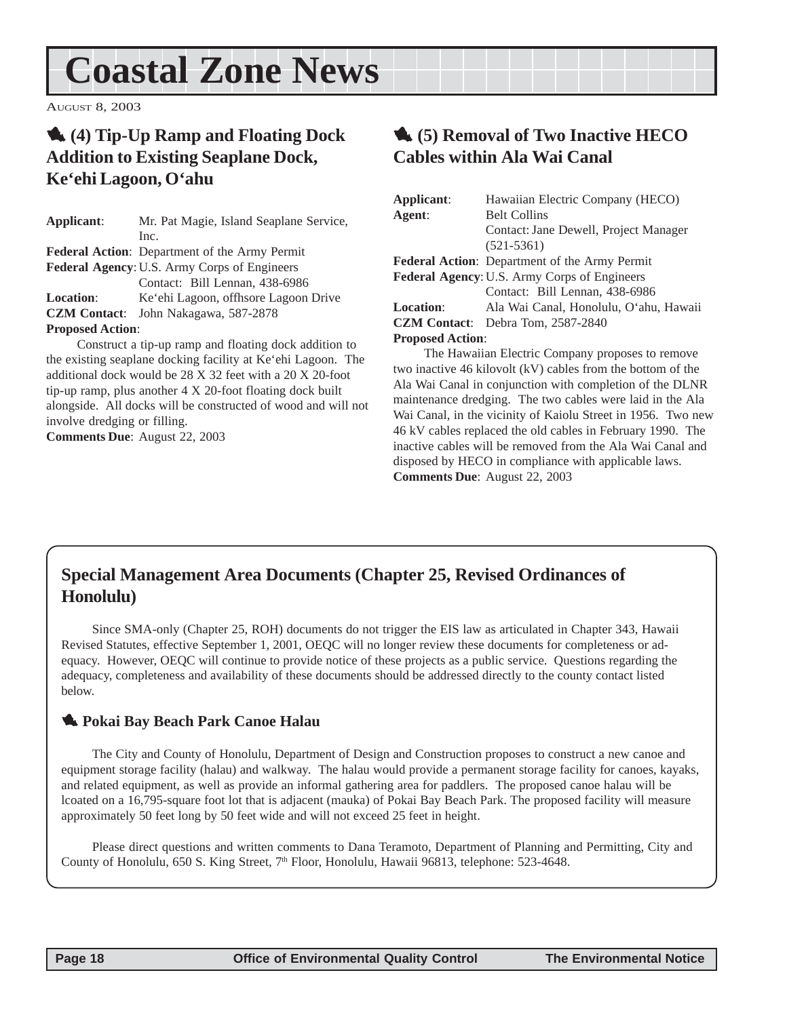## <span id="page-17-0"></span>**Coastal Zone News**

AUGUST 8, 2003

## 1 **(4) Tip-Up Ramp and Floating Dock Addition to Existing Seaplane Dock, Ke'ehi Lagoon, O'ahu**

| Applicant:                                          | Mr. Pat Magie, Island Seaplane Service,              |  |  |  |
|-----------------------------------------------------|------------------------------------------------------|--|--|--|
|                                                     | Inc.                                                 |  |  |  |
|                                                     | <b>Federal Action:</b> Department of the Army Permit |  |  |  |
| <b>Federal Agency: U.S. Army Corps of Engineers</b> |                                                      |  |  |  |
|                                                     | Contact: Bill Lennan, 438-6986                       |  |  |  |
| <b>Location:</b>                                    | Ke'ehi Lagoon, offhsore Lagoon Drive                 |  |  |  |
| <b>CZM Contact:</b>                                 | John Nakagawa, 587-2878                              |  |  |  |
| <b>Proposed Action:</b>                             |                                                      |  |  |  |

Construct a tip-up ramp and floating dock addition to the existing seaplane docking facility at Ke'ehi Lagoon. The additional dock would be 28 X 32 feet with a 20 X 20-foot tip-up ramp, plus another 4 X 20-foot floating dock built alongside. All docks will be constructed of wood and will not involve dredging or filling. **Comments Due**: August 22, 2003

## 1 **(5) Removal of Two Inactive HECO Cables within Ala Wai Canal**

| Applicant:                                   | Hawaiian Electric Company (HECO)              |  |  |
|----------------------------------------------|-----------------------------------------------|--|--|
| Agent:                                       | <b>Belt Collins</b>                           |  |  |
|                                              | Contact: Jane Dewell, Project Manager         |  |  |
|                                              | $(521 - 5361)$                                |  |  |
|                                              | Federal Action: Department of the Army Permit |  |  |
| Federal Agency: U.S. Army Corps of Engineers |                                               |  |  |
|                                              | Contact: Bill Lennan, 438-6986                |  |  |
| <b>Location:</b>                             | Ala Wai Canal, Honolulu, O'ahu, Hawaii        |  |  |
|                                              | <b>CZM Contact:</b> Debra Tom, 2587-2840      |  |  |
| <b>Proposed Action:</b>                      |                                               |  |  |
|                                              |                                               |  |  |

The Hawaiian Electric Company proposes to remove two inactive 46 kilovolt (kV) cables from the bottom of the Ala Wai Canal in conjunction with completion of the DLNR maintenance dredging. The two cables were laid in the Ala Wai Canal, in the vicinity of Kaiolu Street in 1956. Two new 46 kV cables replaced the old cables in February 1990. The inactive cables will be removed from the Ala Wai Canal and disposed by HECO in compliance with applicable laws. **Comments Due**: August 22, 2003

## **Special Management Area Documents (Chapter 25, Revised Ordinances of Honolulu)**

Since SMA-only (Chapter 25, ROH) documents do not trigger the EIS law as articulated in Chapter 343, Hawaii Revised Statutes, effective September 1, 2001, OEQC will no longer review these documents for completeness or adequacy. However, OEQC will continue to provide notice of these projects as a public service. Questions regarding the adequacy, completeness and availability of these documents should be addressed directly to the county contact listed below.

### 1 **Pokai Bay Beach Park Canoe Halau**

The City and County of Honolulu, Department of Design and Construction proposes to construct a new canoe and equipment storage facility (halau) and walkway. The halau would provide a permanent storage facility for canoes, kayaks, and related equipment, as well as provide an informal gathering area for paddlers. The proposed canoe halau will be lcoated on a 16,795-square foot lot that is adjacent (mauka) of Pokai Bay Beach Park. The proposed facility will measure approximately 50 feet long by 50 feet wide and will not exceed 25 feet in height.

Please direct questions and written comments to Dana Teramoto, Department of Planning and Permitting, City and County of Honolulu, 650 S. King Street, 7<sup>th</sup> Floor, Honolulu, Hawaii 96813, telephone: 523-4648.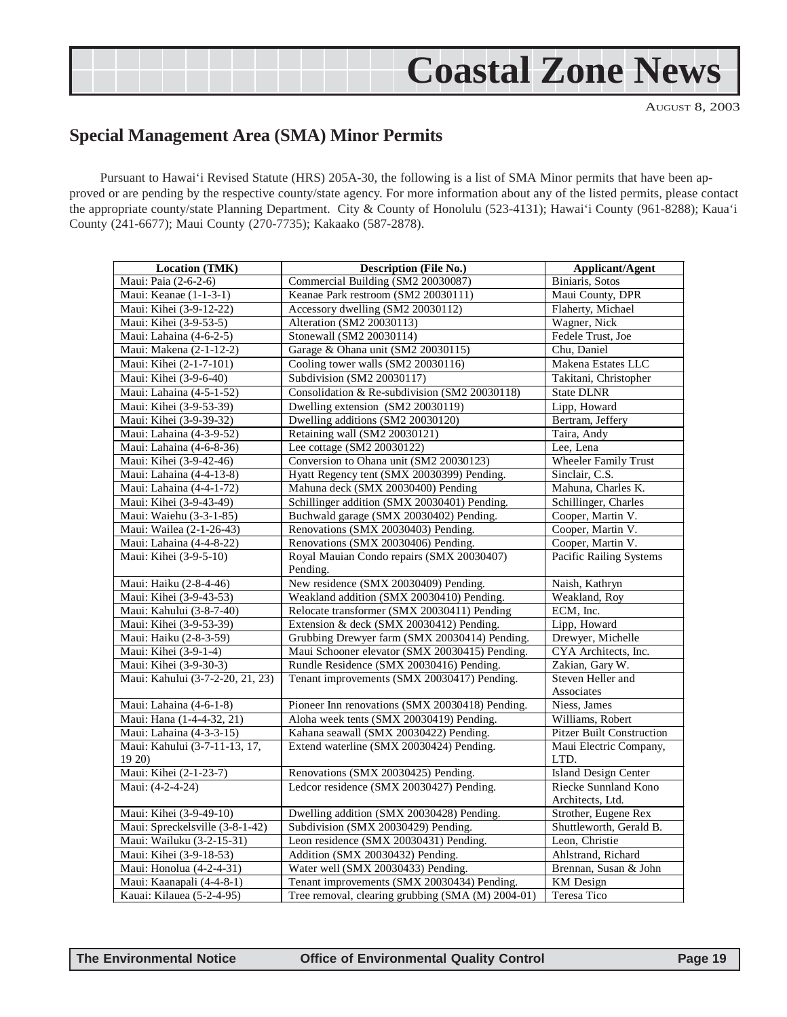## **Coastal Zone News**

AUGUST 8, 2003

## <span id="page-18-0"></span>**Special Management Area (SMA) Minor Permits**

Pursuant to Hawai'i Revised Statute (HRS) 205A-30, the following is a list of SMA Minor permits that have been approved or are pending by the respective county/state agency. For more information about any of the listed permits, please contact the appropriate county/state Planning Department. City & County of Honolulu (523-4131); Hawai'i County (961-8288); Kaua'i County (241-6677); Maui County (270-7735); Kakaako (587-2878).

| <b>Location (TMK)</b>            | <b>Description (File No.)</b>                     | Applicant/Agent                     |  |
|----------------------------------|---------------------------------------------------|-------------------------------------|--|
| Maui: Paia (2-6-2-6)             | Commercial Building (SM2 20030087)                | Biniaris, Sotos                     |  |
| Maui: Keanae (1-1-3-1)           | Keanae Park restroom (SM2 20030111)               | Maui County, DPR                    |  |
| Maui: Kihei (3-9-12-22)          | Accessory dwelling (SM2 20030112)                 | Flaherty, Michael                   |  |
| Maui: Kihei (3-9-53-5)           | Alteration (SM2 20030113)                         | Wagner, Nick                        |  |
| Maui: Lahaina (4-6-2-5)          | Stonewall (SM2 20030114)                          | Fedele Trust, Joe                   |  |
| Maui: Makena (2-1-12-2)          | Garage & Ohana unit (SM2 20030115)                | Chu, Daniel                         |  |
| Maui: Kihei (2-1-7-101)          | Cooling tower walls (SM2 20030116)                | Makena Estates LLC                  |  |
| Maui: Kihei (3-9-6-40)           | Subdivision (SM2 20030117)                        | Takitani, Christopher               |  |
| Maui: Lahaina (4-5-1-52)         | Consolidation & Re-subdivision (SM2 20030118)     | <b>State DLNR</b>                   |  |
| Maui: Kihei (3-9-53-39)          | Dwelling extension (SM2 20030119)                 | Lipp, Howard                        |  |
| Maui: Kihei (3-9-39-32)          | Dwelling additions (SM2 20030120)                 | Bertram, Jeffery                    |  |
| Maui: Lahaina (4-3-9-52)         | Retaining wall (SM2 20030121)                     | Taira, Andy                         |  |
| Maui: Lahaina (4-6-8-36)         | Lee cottage (SM2 20030122)                        | Lee, Lena                           |  |
| Maui: Kihei (3-9-42-46)          | Conversion to Ohana unit (SM2 20030123)           | <b>Wheeler Family Trust</b>         |  |
| Maui: Lahaina (4-4-13-8)         | Hyatt Regency tent (SMX 20030399) Pending.        | Sinclair, C.S.                      |  |
| Maui: Lahaina (4-4-1-72)         | Mahuna deck (SMX 20030400) Pending                | Mahuna, Charles K.                  |  |
| Maui: Kihei (3-9-43-49)          | Schillinger addition (SMX 20030401) Pending.      | Schillinger, Charles                |  |
| Maui: Waiehu (3-3-1-85)          | Buchwald garage (SMX 20030402) Pending.           | Cooper, Martin V.                   |  |
| Maui: Wailea (2-1-26-43)         | Renovations (SMX 20030403) Pending.               | Cooper, Martin V.                   |  |
| Maui: Lahaina (4-4-8-22)         | Renovations (SMX 20030406) Pending.               | Cooper, Martin V.                   |  |
| Maui: Kihei (3-9-5-10)           | Royal Mauian Condo repairs (SMX 20030407)         | <b>Pacific Railing Systems</b>      |  |
|                                  | Pending.                                          |                                     |  |
| Maui: Haiku (2-8-4-46)           | New residence (SMX 20030409) Pending.             | Naish, Kathryn                      |  |
| Maui: Kihei (3-9-43-53)          | Weakland addition (SMX 20030410) Pending.         | Weakland, Roy                       |  |
| Maui: Kahului (3-8-7-40)         | Relocate transformer (SMX 20030411) Pending       | ECM, Inc.                           |  |
| Maui: Kihei (3-9-53-39)          | Extension & deck (SMX 20030412) Pending.          | Lipp, Howard                        |  |
| Maui: Haiku (2-8-3-59)           | Grubbing Drewyer farm (SMX 20030414) Pending.     | Drewyer, Michelle                   |  |
| Maui: Kihei (3-9-1-4)            | Maui Schooner elevator (SMX 20030415) Pending.    | CYA Architects, Inc.                |  |
| Maui: Kihei (3-9-30-3)           | Rundle Residence (SMX 20030416) Pending.          | Zakian, Gary W.                     |  |
| Maui: Kahului (3-7-2-20, 21, 23) | Tenant improvements (SMX 20030417) Pending.       | Steven Heller and                   |  |
|                                  |                                                   | Associates                          |  |
| Maui: Lahaina (4-6-1-8)          | Pioneer Inn renovations (SMX 20030418) Pending.   | Niess, James                        |  |
| Maui: Hana (1-4-4-32, 21)        | Aloha week tents (SMX 20030419) Pending.          | Williams, Robert                    |  |
| Maui: Lahaina (4-3-3-15)         | Kahana seawall (SMX 20030422) Pending.            | <b>Pitzer Built Construction</b>    |  |
| Maui: Kahului (3-7-11-13, 17,    | Extend waterline (SMX 20030424) Pending.          | Maui Electric Company,              |  |
| 1920<br>Maui: Kihei (2-1-23-7)   | Renovations (SMX 20030425) Pending.               | LTD.<br><b>Island Design Center</b> |  |
| Maui: (4-2-4-24)                 | Ledcor residence (SMX 20030427) Pending.          | Riecke Sunnland Kono                |  |
|                                  |                                                   | Architects, Ltd.                    |  |
| Maui: Kihei (3-9-49-10)          | Dwelling addition (SMX 20030428) Pending.         | Strother, Eugene Rex                |  |
| Maui: Spreckelsville (3-8-1-42)  | Subdivision (SMX 20030429) Pending.               | Shuttleworth, Gerald B.             |  |
| Maui: Wailuku (3-2-15-31)        | Leon residence (SMX 20030431) Pending.            | Leon, Christie                      |  |
| Maui: Kihei (3-9-18-53)          | Addition (SMX 20030432) Pending.                  | Ahlstrand, Richard                  |  |
| Maui: Honolua (4-2-4-31)         | Water well (SMX 20030433) Pending.                | Brennan, Susan & John               |  |
| Maui: Kaanapali (4-4-8-1)        | Tenant improvements (SMX 20030434) Pending.       | KM Design                           |  |
| Kauai: Kilauea (5-2-4-95)        | Tree removal, clearing grubbing (SMA (M) 2004-01) | Teresa Tico                         |  |
|                                  |                                                   |                                     |  |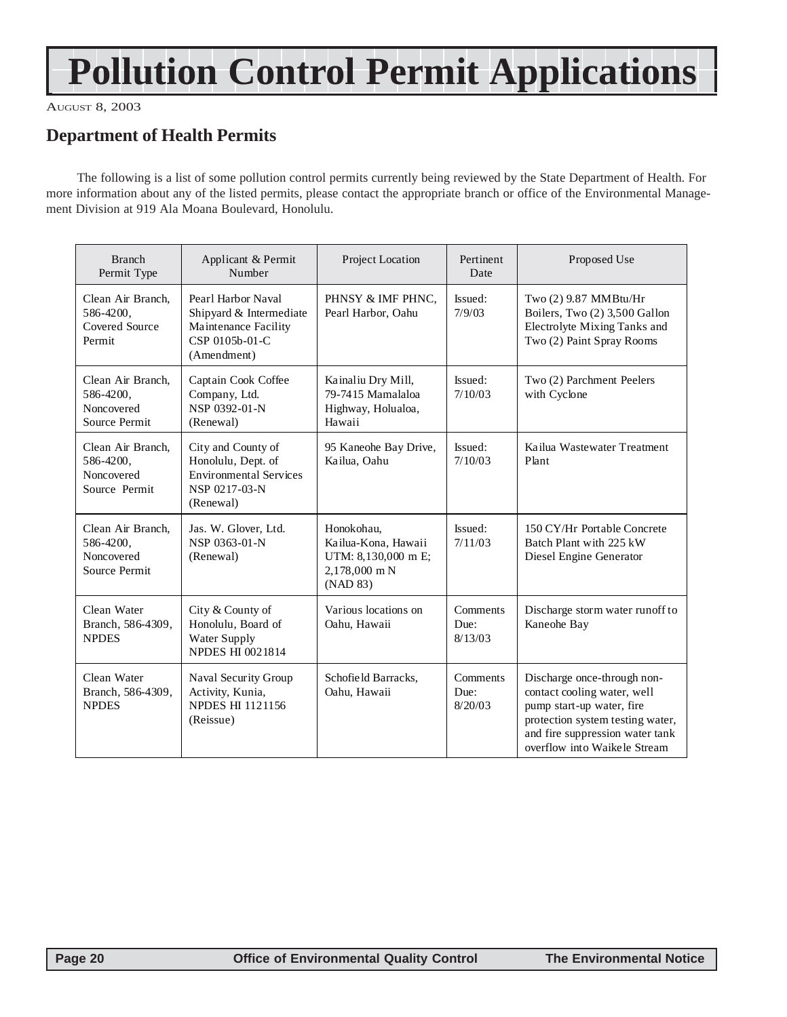## **Pollution Control Permit Applications**

AUGUST 8, 2003

## **Department of Health Permits**

The following is a list of some pollution control permits currently being reviewed by the State Department of Health. For more information about any of the listed permits, please contact the appropriate branch or office of the Environmental Management Division at 919 Ala Moana Boulevard, Honolulu.

| <b>Branch</b><br>Permit Type                                  | Applicant & Permit<br>Number                                                                            | Project Location                                                                      | Pertinent<br>Date           | Proposed Use                                                                                                                                                                                   |
|---------------------------------------------------------------|---------------------------------------------------------------------------------------------------------|---------------------------------------------------------------------------------------|-----------------------------|------------------------------------------------------------------------------------------------------------------------------------------------------------------------------------------------|
| Clean Air Branch,<br>586-4200,<br>Covered Source<br>Permit    | Pearl Harbor Naval<br>Shipyard & Intermediate<br>Maintenance Facility<br>CSP 0105b-01-C<br>(Amendment)  | PHNSY & IMF PHNC.<br>Pearl Harbor, Oahu                                               | Issued:<br>7/9/03           | Two (2) 9.87 MMBtu/Hr<br>Boilers, Two (2) 3,500 Gallon<br>Electrolyte Mixing Tanks and<br>Two (2) Paint Spray Rooms                                                                            |
| Clean Air Branch.<br>586-4200,<br>Noncovered<br>Source Permit | Captain Cook Coffee<br>Company, Ltd.<br>NSP 0392-01-N<br>(Renewal)                                      | Kainaliu Dry Mill,<br>79-7415 Mamalaloa<br>Highway, Holualoa,<br>Hawaii               | Issued:<br>7/10/03          | Two (2) Parchment Peelers<br>with Cyclone                                                                                                                                                      |
| Clean Air Branch.<br>586-4200,<br>Noncovered<br>Source Permit | City and County of<br>Honolulu, Dept. of<br><b>Environmental Services</b><br>NSP 0217-03-N<br>(Renewal) | 95 Kaneohe Bay Drive,<br>Kailua, Oahu                                                 | Issued:<br>7/10/03          | Kailua Wastewater Treatment<br>Plant                                                                                                                                                           |
| Clean Air Branch,<br>586-4200,<br>Noncovered<br>Source Permit | Jas. W. Glover, Ltd.<br>NSP 0363-01-N<br>(Renewal)                                                      | Honokohau,<br>Kailua-Kona, Hawaii<br>UTM: 8,130,000 m E;<br>2,178,000 m N<br>(NAD 83) | Issued:<br>7/11/03          | 150 CY/Hr Portable Concrete<br>Batch Plant with 225 kW<br>Diesel Engine Generator                                                                                                              |
| Clean Water<br>Branch, 586-4309,<br><b>NPDES</b>              | City & County of<br>Honolulu, Board of<br>Water Supply<br><b>NPDES HI 0021814</b>                       | Various locations on<br>Oahu, Hawaii                                                  | Comments<br>Due:<br>8/13/03 | Discharge storm water runoff to<br>Kaneohe Bay                                                                                                                                                 |
| Clean Water<br>Branch, 586-4309,<br><b>NPDES</b>              | Naval Security Group<br>Activity, Kunia,<br><b>NPDES HI 1121156</b><br>(Reissue)                        | Schofield Barracks,<br>Oahu, Hawaii                                                   | Comments<br>Due:<br>8/20/03 | Discharge once-through non-<br>contact cooling water, well<br>pump start-up water, fire<br>protection system testing water,<br>and fire suppression water tank<br>overflow into Waikele Stream |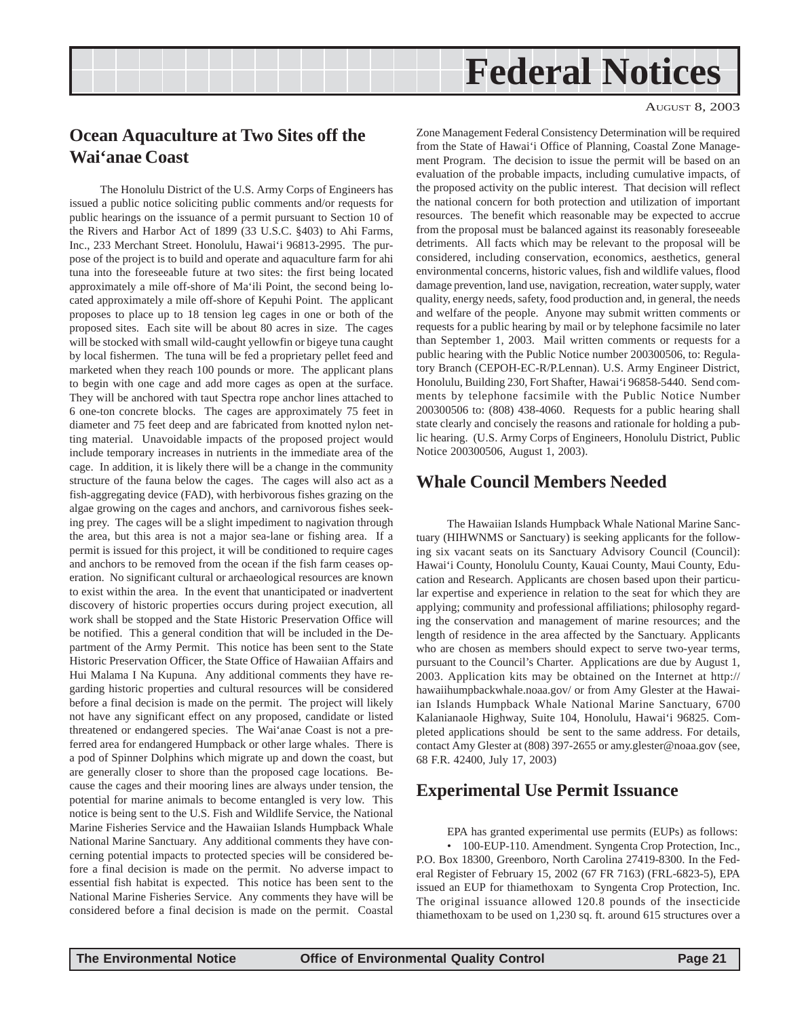## **Federal Notices**

#### AUGUST 8, 2003

## <span id="page-20-0"></span>**Ocean Aquaculture at Two Sites off the Wai'anae Coast**

The Honolulu District of the U.S. Army Corps of Engineers has issued a public notice soliciting public comments and/or requests for public hearings on the issuance of a permit pursuant to Section 10 of the Rivers and Harbor Act of 1899 (33 U.S.C. §403) to Ahi Farms, Inc., 233 Merchant Street. Honolulu, Hawai'i 96813-2995. The purpose of the project is to build and operate and aquaculture farm for ahi tuna into the foreseeable future at two sites: the first being located approximately a mile off-shore of Ma'ili Point, the second being located approximately a mile off-shore of Kepuhi Point. The applicant proposes to place up to 18 tension leg cages in one or both of the proposed sites. Each site will be about 80 acres in size. The cages will be stocked with small wild-caught yellowfin or bigeye tuna caught by local fishermen. The tuna will be fed a proprietary pellet feed and marketed when they reach 100 pounds or more. The applicant plans to begin with one cage and add more cages as open at the surface. They will be anchored with taut Spectra rope anchor lines attached to 6 one-ton concrete blocks. The cages are approximately 75 feet in diameter and 75 feet deep and are fabricated from knotted nylon netting material. Unavoidable impacts of the proposed project would include temporary increases in nutrients in the immediate area of the cage. In addition, it is likely there will be a change in the community structure of the fauna below the cages. The cages will also act as a fish-aggregating device (FAD), with herbivorous fishes grazing on the algae growing on the cages and anchors, and carnivorous fishes seeking prey. The cages will be a slight impediment to nagivation through the area, but this area is not a major sea-lane or fishing area. If a permit is issued for this project, it will be conditioned to require cages and anchors to be removed from the ocean if the fish farm ceases operation. No significant cultural or archaeological resources are known to exist within the area. In the event that unanticipated or inadvertent discovery of historic properties occurs during project execution, all work shall be stopped and the State Historic Preservation Office will be notified. This a general condition that will be included in the Department of the Army Permit. This notice has been sent to the State Historic Preservation Officer, the State Office of Hawaiian Affairs and Hui Malama I Na Kupuna. Any additional comments they have regarding historic properties and cultural resources will be considered before a final decision is made on the permit. The project will likely not have any significant effect on any proposed, candidate or listed threatened or endangered species. The Wai'anae Coast is not a preferred area for endangered Humpback or other large whales. There is a pod of Spinner Dolphins which migrate up and down the coast, but are generally closer to shore than the proposed cage locations. Because the cages and their mooring lines are always under tension, the potential for marine animals to become entangled is very low. This notice is being sent to the U.S. Fish and Wildlife Service, the National Marine Fisheries Service and the Hawaiian Islands Humpback Whale National Marine Sanctuary. Any additional comments they have concerning potential impacts to protected species will be considered before a final decision is made on the permit. No adverse impact to essential fish habitat is expected. This notice has been sent to the National Marine Fisheries Service. Any comments they have will be considered before a final decision is made on the permit. Coastal

Zone Management Federal Consistency Determination will be required from the State of Hawai'i Office of Planning, Coastal Zone Management Program. The decision to issue the permit will be based on an evaluation of the probable impacts, including cumulative impacts, of the proposed activity on the public interest. That decision will reflect the national concern for both protection and utilization of important resources. The benefit which reasonable may be expected to accrue from the proposal must be balanced against its reasonably foreseeable detriments. All facts which may be relevant to the proposal will be considered, including conservation, economics, aesthetics, general environmental concerns, historic values, fish and wildlife values, flood damage prevention, land use, navigation, recreation, water supply, water quality, energy needs, safety, food production and, in general, the needs and welfare of the people. Anyone may submit written comments or requests for a public hearing by mail or by telephone facsimile no later than September 1, 2003. Mail written comments or requests for a public hearing with the Public Notice number 200300506, to: Regulatory Branch (CEPOH-EC-R/P.Lennan). U.S. Army Engineer District, Honolulu, Building 230, Fort Shafter, Hawai'i 96858-5440. Send comments by telephone facsimile with the Public Notice Number 200300506 to: (808) 438-4060. Requests for a public hearing shall state clearly and concisely the reasons and rationale for holding a public hearing. (U.S. Army Corps of Engineers, Honolulu District, Public Notice 200300506, August 1, 2003).

### **Whale Council Members Needed**

The Hawaiian Islands Humpback Whale National Marine Sanctuary (HIHWNMS or Sanctuary) is seeking applicants for the following six vacant seats on its Sanctuary Advisory Council (Council): Hawai'i County, Honolulu County, Kauai County, Maui County, Education and Research. Applicants are chosen based upon their particular expertise and experience in relation to the seat for which they are applying; community and professional affiliations; philosophy regarding the conservation and management of marine resources; and the length of residence in the area affected by the Sanctuary. Applicants who are chosen as members should expect to serve two-year terms, pursuant to the Council's Charter. Applications are due by August 1, 2003. Application kits may be obtained on the Internet at http:// hawaiihumpbackwhale.noaa.gov/ or from Amy Glester at the Hawaiian Islands Humpback Whale National Marine Sanctuary, 6700 Kalanianaole Highway, Suite 104, Honolulu, Hawai'i 96825. Completed applications should be sent to the same address. For details, contact Amy Glester at (808) 397-2655 or amy.glester@noaa.gov (see, 68 F.R. 42400, July 17, 2003)

### **Experimental Use Permit Issuance**

EPA has granted experimental use permits (EUPs) as follows: • 100-EUP-110. Amendment. Syngenta Crop Protection, Inc., P.O. Box 18300, Greenboro, North Carolina 27419-8300. In the Federal Register of February 15, 2002 (67 FR 7163) (FRL-6823-5), EPA issued an EUP for thiamethoxam to Syngenta Crop Protection, Inc. The original issuance allowed 120.8 pounds of the insecticide thiamethoxam to be used on 1,230 sq. ft. around 615 structures over a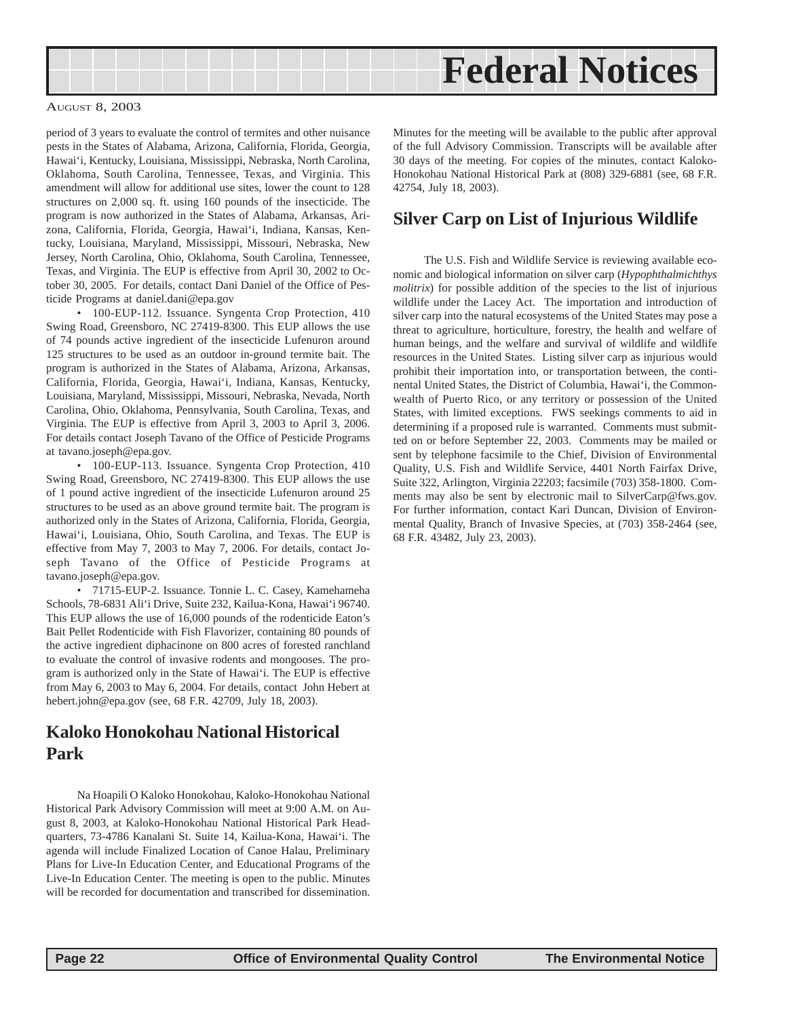<span id="page-21-0"></span>

period of 3 years to evaluate the control of termites and other nuisance pests in the States of Alabama, Arizona, California, Florida, Georgia, Hawai'i, Kentucky, Louisiana, Mississippi, Nebraska, North Carolina, Oklahoma, South Carolina, Tennessee, Texas, and Virginia. This amendment will allow for additional use sites, lower the count to 128 structures on 2,000 sq. ft. using 160 pounds of the insecticide. The program is now authorized in the States of Alabama, Arkansas, Arizona, California, Florida, Georgia, Hawai'i, Indiana, Kansas, Kentucky, Louisiana, Maryland, Mississippi, Missouri, Nebraska, New Jersey, North Carolina, Ohio, Oklahoma, South Carolina, Tennessee, Texas, and Virginia. The EUP is effective from April 30, 2002 to October 30, 2005. For details, contact Dani Daniel of the Office of Pesticide Programs at daniel.dani@epa.gov

• 100-EUP-112. Issuance. Syngenta Crop Protection, 410 Swing Road, Greensboro, NC 27419-8300. This EUP allows the use of 74 pounds active ingredient of the insecticide Lufenuron around 125 structures to be used as an outdoor in-ground termite bait. The program is authorized in the States of Alabama, Arizona, Arkansas, California, Florida, Georgia, Hawai'i, Indiana, Kansas, Kentucky, Louisiana, Maryland, Mississippi, Missouri, Nebraska, Nevada, North Carolina, Ohio, Oklahoma, Pennsylvania, South Carolina, Texas, and Virginia. The EUP is effective from April 3, 2003 to April 3, 2006. For details contact Joseph Tavano of the Office of Pesticide Programs at tavano.joseph@epa.gov.

• 100-EUP-113. Issuance. Syngenta Crop Protection, 410 Swing Road, Greensboro, NC 27419-8300. This EUP allows the use of 1 pound active ingredient of the insecticide Lufenuron around 25 structures to be used as an above ground termite bait. The program is authorized only in the States of Arizona, California, Florida, Georgia, Hawai'i, Louisiana, Ohio, South Carolina, and Texas. The EUP is effective from May 7, 2003 to May 7, 2006. For details, contact Joseph Tavano of the Office of Pesticide Programs at tavano.joseph@epa.gov.

• 71715-EUP-2. Issuance. Tonnie L. C. Casey, Kamehameha Schools, 78-6831 Ali'i Drive, Suite 232, Kailua-Kona, Hawai'i 96740. This EUP allows the use of 16,000 pounds of the rodenticide Eaton's Bait Pellet Rodenticide with Fish Flavorizer, containing 80 pounds of the active ingredient diphacinone on 800 acres of forested ranchland to evaluate the control of invasive rodents and mongooses. The program is authorized only in the State of Hawai'i. The EUP is effective from May 6, 2003 to May 6, 2004. For details, contact John Hebert at hebert.john@epa.gov (see, 68 F.R. 42709, July 18, 2003).

### **Kaloko Honokohau National Historical Park**

Na Hoapili O Kaloko Honokohau, Kaloko-Honokohau National Historical Park Advisory Commission will meet at 9:00 A.M. on August 8, 2003, at Kaloko-Honokohau National Historical Park Headquarters, 73-4786 Kanalani St. Suite 14, Kailua-Kona, Hawai'i. The agenda will include Finalized Location of Canoe Halau, Preliminary Plans for Live-In Education Center, and Educational Programs of the Live-In Education Center. The meeting is open to the public. Minutes will be recorded for documentation and transcribed for dissemination.

Minutes for the meeting will be available to the public after approval of the full Advisory Commission. Transcripts will be available after 30 days of the meeting. For copies of the minutes, contact Kaloko-Honokohau National Historical Park at (808) 329-6881 (see, 68 F.R. 42754, July 18, 2003).

### **Silver Carp on List of Injurious Wildlife**

The U.S. Fish and Wildlife Service is reviewing available economic and biological information on silver carp (*Hypophthalmichthys molitrix*) for possible addition of the species to the list of injurious wildlife under the Lacey Act. The importation and introduction of silver carp into the natural ecosystems of the United States may pose a threat to agriculture, horticulture, forestry, the health and welfare of human beings, and the welfare and survival of wildlife and wildlife resources in the United States. Listing silver carp as injurious would prohibit their importation into, or transportation between, the continental United States, the District of Columbia, Hawai'i, the Commonwealth of Puerto Rico, or any territory or possession of the United States, with limited exceptions. FWS seekings comments to aid in determining if a proposed rule is warranted. Comments must submitted on or before September 22, 2003. Comments may be mailed or sent by telephone facsimile to the Chief, Division of Environmental Quality, U.S. Fish and Wildlife Service, 4401 North Fairfax Drive, Suite 322, Arlington, Virginia 22203; facsimile (703) 358-1800. Comments may also be sent by electronic mail to SilverCarp@fws.gov. For further information, contact Kari Duncan, Division of Environmental Quality, Branch of Invasive Species, at (703) 358-2464 (see, 68 F.R. 43482, July 23, 2003).